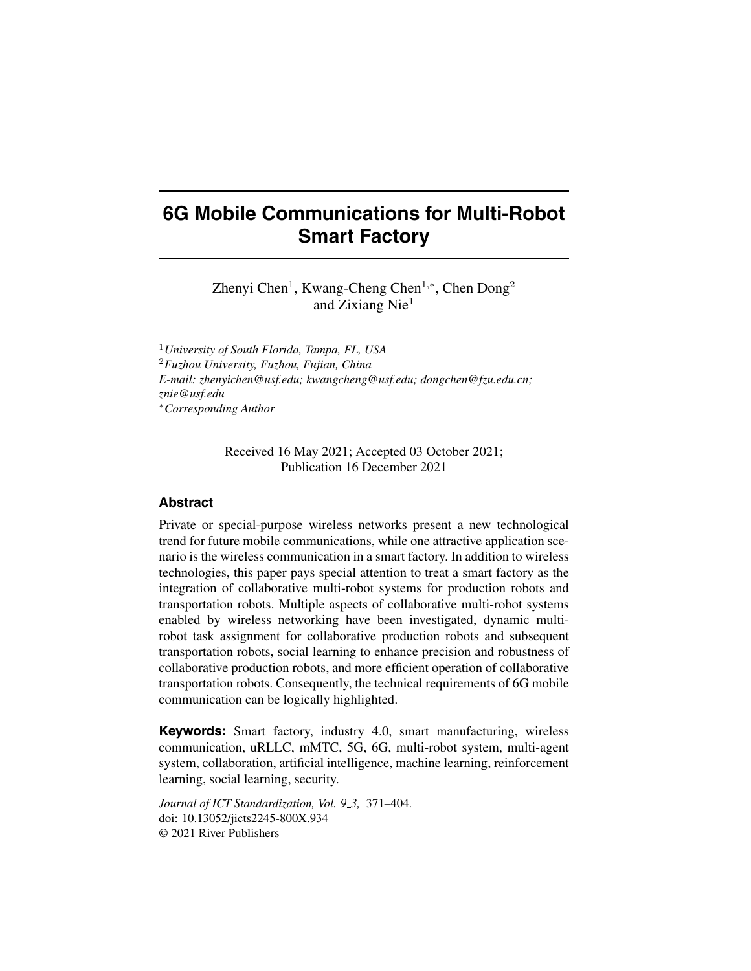# **6G Mobile Communications for Multi-Robot Smart Factory**

Zhenyi Chen<sup>1</sup>, Kwang-Cheng Chen<sup>1,∗</sup>, Chen Dong<sup>2</sup> and Zixiang Nie<sup>1</sup>

<sup>1</sup>*University of South Florida, Tampa, FL, USA* <sup>2</sup>*Fuzhou University, Fuzhou, Fujian, China E-mail: zhenyichen@usf.edu; kwangcheng@usf.edu; dongchen@fzu.edu.cn; znie@usf.edu* <sup>∗</sup>*Corresponding Author*

> Received 16 May 2021; Accepted 03 October 2021; Publication 16 December 2021

# **Abstract**

Private or special-purpose wireless networks present a new technological trend for future mobile communications, while one attractive application scenario is the wireless communication in a smart factory. In addition to wireless technologies, this paper pays special attention to treat a smart factory as the integration of collaborative multi-robot systems for production robots and transportation robots. Multiple aspects of collaborative multi-robot systems enabled by wireless networking have been investigated, dynamic multirobot task assignment for collaborative production robots and subsequent transportation robots, social learning to enhance precision and robustness of collaborative production robots, and more efficient operation of collaborative transportation robots. Consequently, the technical requirements of 6G mobile communication can be logically highlighted.

**Keywords:** Smart factory, industry 4.0, smart manufacturing, wireless communication, uRLLC, mMTC, 5G, 6G, multi-robot system, multi-agent system, collaboration, artificial intelligence, machine learning, reinforcement learning, social learning, security.

*Journal of ICT Standardization, Vol. 9 3,* 371–404. doi: 10.13052/jicts2245-800X.934 © 2021 River Publishers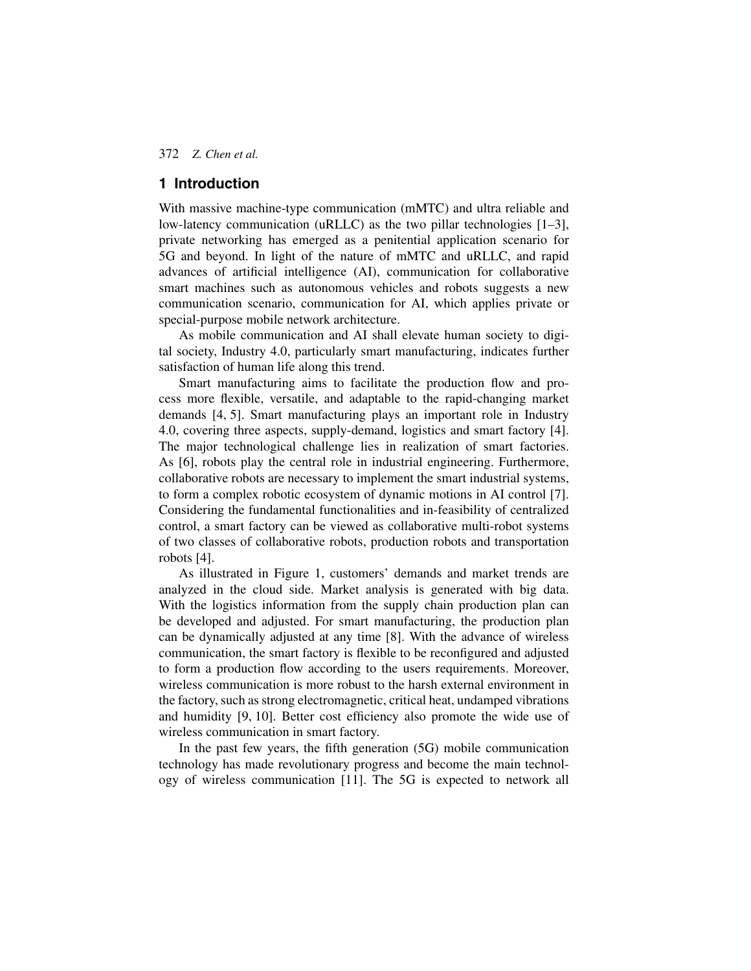# **1 Introduction**

With massive machine-type communication (mMTC) and ultra reliable and low-latency communication (uRLLC) as the two pillar technologies [\[1](#page-22-0)[–3\]](#page-22-1), private networking has emerged as a penitential application scenario for 5G and beyond. In light of the nature of mMTC and uRLLC, and rapid advances of artificial intelligence (AI), communication for collaborative smart machines such as autonomous vehicles and robots suggests a new communication scenario, communication for AI, which applies private or special-purpose mobile network architecture.

As mobile communication and AI shall elevate human society to digital society, Industry 4.0, particularly smart manufacturing, indicates further satisfaction of human life along this trend.

Smart manufacturing aims to facilitate the production flow and process more flexible, versatile, and adaptable to the rapid-changing market demands [\[4,](#page-22-2) [5\]](#page-22-3). Smart manufacturing plays an important role in Industry 4.0, covering three aspects, supply-demand, logistics and smart factory [\[4\]](#page-22-2). The major technological challenge lies in realization of smart factories. As [\[6\]](#page-22-4), robots play the central role in industrial engineering. Furthermore, collaborative robots are necessary to implement the smart industrial systems, to form a complex robotic ecosystem of dynamic motions in AI control [\[7\]](#page-22-5). Considering the fundamental functionalities and in-feasibility of centralized control, a smart factory can be viewed as collaborative multi-robot systems of two classes of collaborative robots, production robots and transportation robots [\[4\]](#page-22-2).

As illustrated in Figure [1,](#page-2-0) customers' demands and market trends are analyzed in the cloud side. Market analysis is generated with big data. With the logistics information from the supply chain production plan can be developed and adjusted. For smart manufacturing, the production plan can be dynamically adjusted at any time [\[8\]](#page-22-6). With the advance of wireless communication, the smart factory is flexible to be reconfigured and adjusted to form a production flow according to the users requirements. Moreover, wireless communication is more robust to the harsh external environment in the factory, such as strong electromagnetic, critical heat, undamped vibrations and humidity [\[9,](#page-23-0) [10\]](#page-23-1). Better cost efficiency also promote the wide use of wireless communication in smart factory.

In the past few years, the fifth generation (5G) mobile communication technology has made revolutionary progress and become the main technology of wireless communication [\[11\]](#page-23-2). The 5G is expected to network all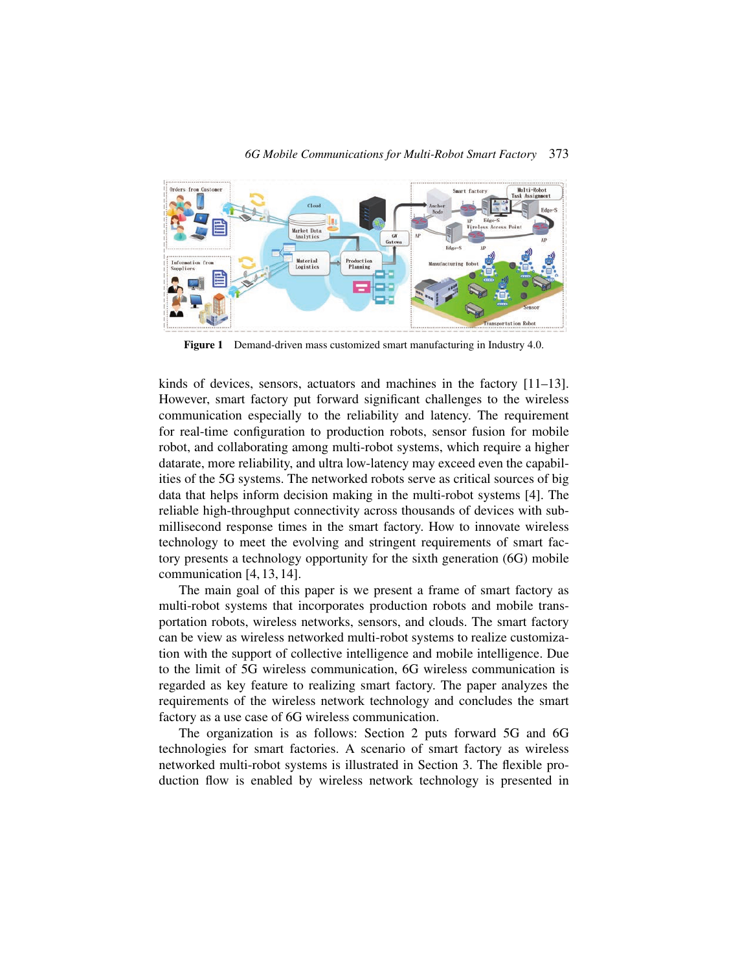

<span id="page-2-0"></span>**Figure 1** Demand-driven mass customized smart manufacturing in Industry 4.0.

kinds of devices, sensors, actuators and machines in the factory [\[11](#page-23-2)[–13\]](#page-23-3). However, smart factory put forward significant challenges to the wireless communication especially to the reliability and latency. The requirement for real-time configuration to production robots, sensor fusion for mobile robot, and collaborating among multi-robot systems, which require a higher datarate, more reliability, and ultra low-latency may exceed even the capabilities of the 5G systems. The networked robots serve as critical sources of big data that helps inform decision making in the multi-robot systems [\[4\]](#page-22-2). The reliable high-throughput connectivity across thousands of devices with submillisecond response times in the smart factory. How to innovate wireless technology to meet the evolving and stringent requirements of smart factory presents a technology opportunity for the sixth generation (6G) mobile communication [\[4,](#page-22-2) [13,](#page-23-3) [14\]](#page-23-4).

The main goal of this paper is we present a frame of smart factory as multi-robot systems that incorporates production robots and mobile transportation robots, wireless networks, sensors, and clouds. The smart factory can be view as wireless networked multi-robot systems to realize customization with the support of collective intelligence and mobile intelligence. Due to the limit of 5G wireless communication, 6G wireless communication is regarded as key feature to realizing smart factory. The paper analyzes the requirements of the wireless network technology and concludes the smart factory as a use case of 6G wireless communication.

The organization is as follows: Section 2 puts forward 5G and 6G technologies for smart factories. A scenario of smart factory as wireless networked multi-robot systems is illustrated in Section 3. The flexible production flow is enabled by wireless network technology is presented in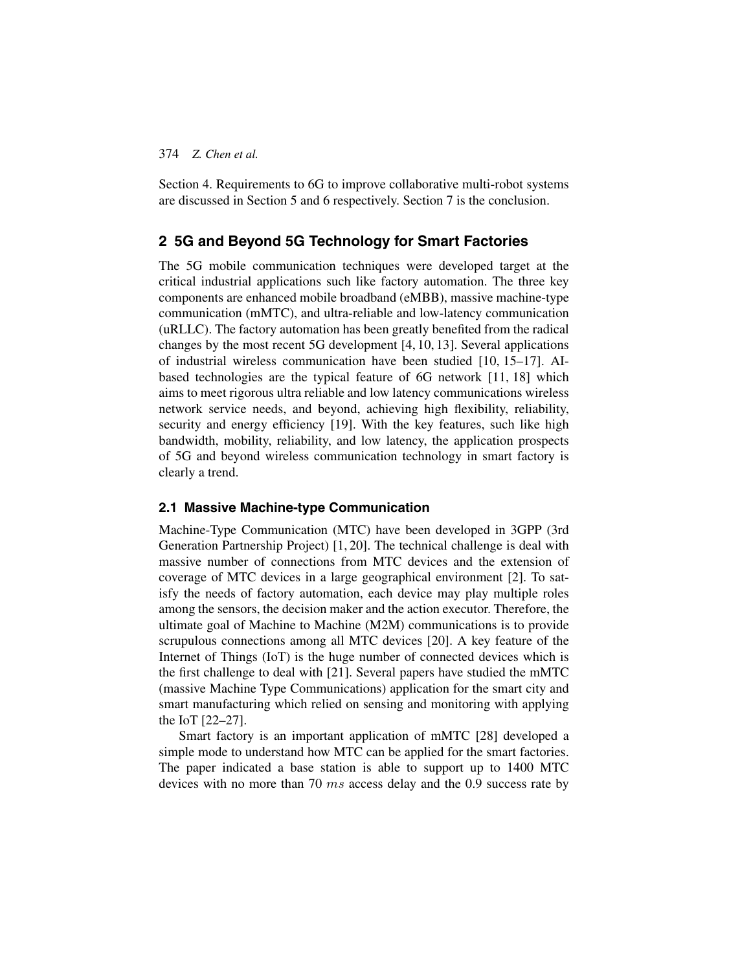Section 4. Requirements to 6G to improve collaborative multi-robot systems are discussed in Section 5 and 6 respectively. Section 7 is the conclusion.

# **2 5G and Beyond 5G Technology for Smart Factories**

The 5G mobile communication techniques were developed target at the critical industrial applications such like factory automation. The three key components are enhanced mobile broadband (eMBB), massive machine-type communication (mMTC), and ultra-reliable and low-latency communication (uRLLC). The factory automation has been greatly benefited from the radical changes by the most recent 5G development [\[4,](#page-22-2) [10,](#page-23-1) [13\]](#page-23-3). Several applications of industrial wireless communication have been studied [\[10,](#page-23-1) [15](#page-23-5)[–17\]](#page-23-6). AIbased technologies are the typical feature of 6G network [\[11,](#page-23-2) [18\]](#page-23-7) which aims to meet rigorous ultra reliable and low latency communications wireless network service needs, and beyond, achieving high flexibility, reliability, security and energy efficiency [\[19\]](#page-23-8). With the key features, such like high bandwidth, mobility, reliability, and low latency, the application prospects of 5G and beyond wireless communication technology in smart factory is clearly a trend.

## **2.1 Massive Machine-type Communication**

Machine-Type Communication (MTC) have been developed in 3GPP (3rd Generation Partnership Project) [\[1,](#page-22-0) [20\]](#page-24-0). The technical challenge is deal with massive number of connections from MTC devices and the extension of coverage of MTC devices in a large geographical environment [\[2\]](#page-22-7). To satisfy the needs of factory automation, each device may play multiple roles among the sensors, the decision maker and the action executor. Therefore, the ultimate goal of Machine to Machine (M2M) communications is to provide scrupulous connections among all MTC devices [\[20\]](#page-24-0). A key feature of the Internet of Things (IoT) is the huge number of connected devices which is the first challenge to deal with [\[21\]](#page-24-1). Several papers have studied the mMTC (massive Machine Type Communications) application for the smart city and smart manufacturing which relied on sensing and monitoring with applying the IoT [\[22–](#page-24-2)[27\]](#page-24-3).

Smart factory is an important application of mMTC [\[28\]](#page-24-4) developed a simple mode to understand how MTC can be applied for the smart factories. The paper indicated a base station is able to support up to 1400 MTC devices with no more than 70 ms access delay and the 0.9 success rate by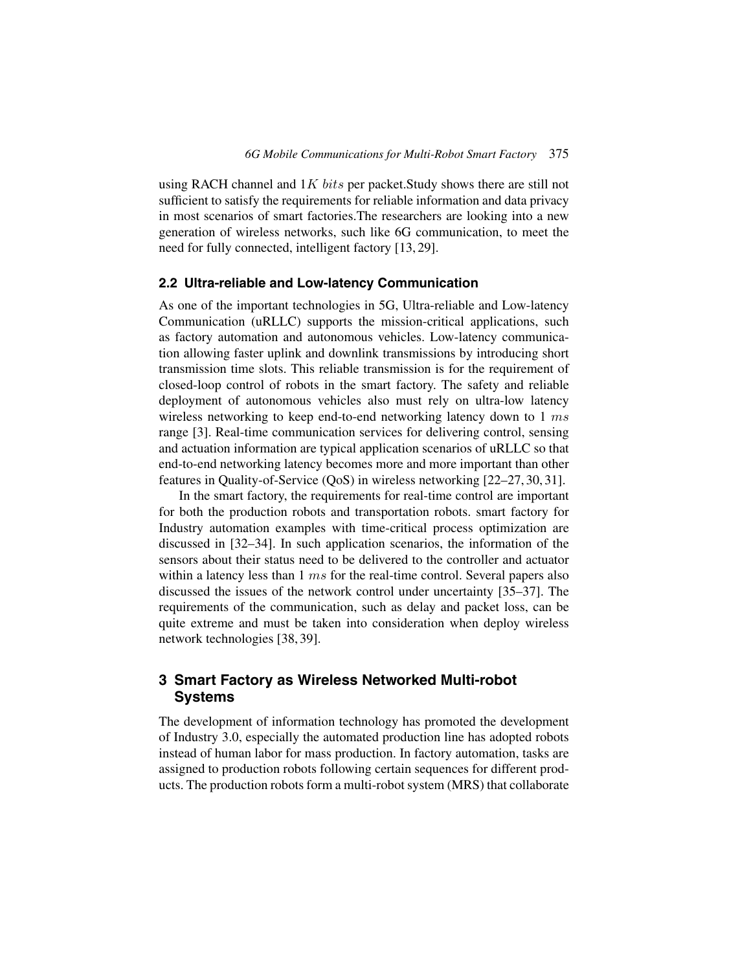using RACH channel and  $1K$  bits per packet. Study shows there are still not sufficient to satisfy the requirements for reliable information and data privacy in most scenarios of smart factories.The researchers are looking into a new generation of wireless networks, such like 6G communication, to meet the need for fully connected, intelligent factory [\[13,](#page-23-3) [29\]](#page-24-5).

## **2.2 Ultra-reliable and Low-latency Communication**

As one of the important technologies in 5G, Ultra-reliable and Low-latency Communication (uRLLC) supports the mission-critical applications, such as factory automation and autonomous vehicles. Low-latency communication allowing faster uplink and downlink transmissions by introducing short transmission time slots. This reliable transmission is for the requirement of closed-loop control of robots in the smart factory. The safety and reliable deployment of autonomous vehicles also must rely on ultra-low latency wireless networking to keep end-to-end networking latency down to 1 ms range [\[3\]](#page-22-1). Real-time communication services for delivering control, sensing and actuation information are typical application scenarios of uRLLC so that end-to-end networking latency becomes more and more important than other features in Quality-of-Service (QoS) in wireless networking [\[22–](#page-24-2)[27,](#page-24-3) [30,](#page-24-6) [31\]](#page-24-7).

In the smart factory, the requirements for real-time control are important for both the production robots and transportation robots. smart factory for Industry automation examples with time-critical process optimization are discussed in [\[32–](#page-25-0)[34\]](#page-25-1). In such application scenarios, the information of the sensors about their status need to be delivered to the controller and actuator within a latency less than  $1 \, ms$  for the real-time control. Several papers also discussed the issues of the network control under uncertainty [\[35–](#page-25-2)[37\]](#page-25-3). The requirements of the communication, such as delay and packet loss, can be quite extreme and must be taken into consideration when deploy wireless network technologies [\[38,](#page-25-4) [39\]](#page-25-5).

# **3 Smart Factory as Wireless Networked Multi-robot Systems**

The development of information technology has promoted the development of Industry 3.0, especially the automated production line has adopted robots instead of human labor for mass production. In factory automation, tasks are assigned to production robots following certain sequences for different products. The production robots form a multi-robot system (MRS) that collaborate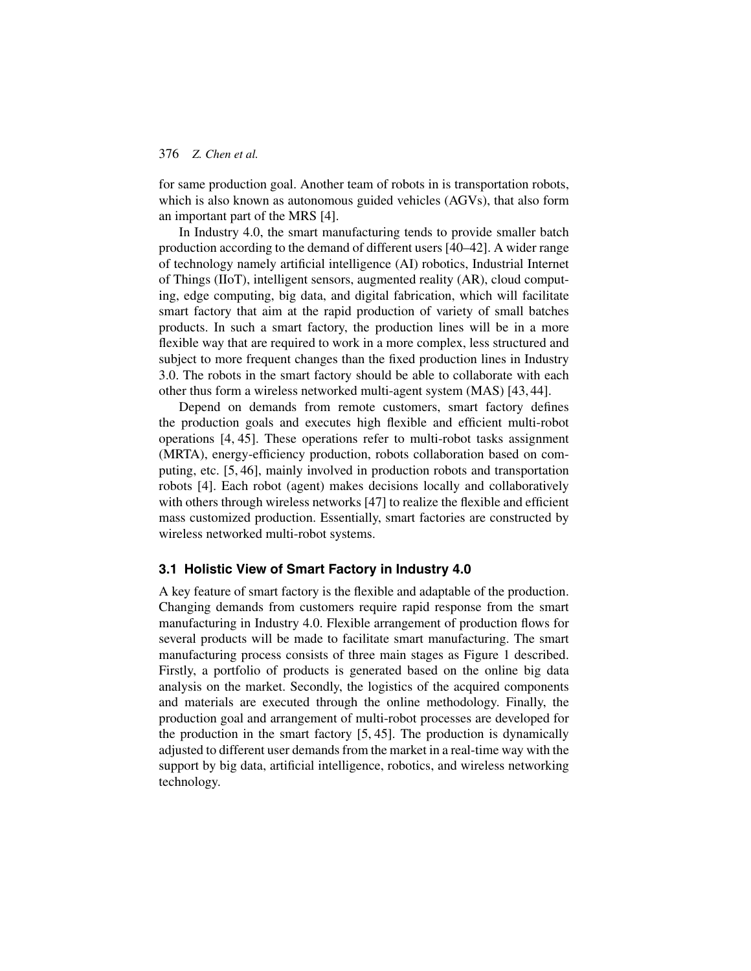for same production goal. Another team of robots in is transportation robots, which is also known as autonomous guided vehicles (AGVs), that also form an important part of the MRS [\[4\]](#page-22-2).

In Industry 4.0, the smart manufacturing tends to provide smaller batch production according to the demand of different users [\[40–](#page-25-6)[42\]](#page-25-7). A wider range of technology namely artificial intelligence (AI) robotics, Industrial Internet of Things (IIoT), intelligent sensors, augmented reality (AR), cloud computing, edge computing, big data, and digital fabrication, which will facilitate smart factory that aim at the rapid production of variety of small batches products. In such a smart factory, the production lines will be in a more flexible way that are required to work in a more complex, less structured and subject to more frequent changes than the fixed production lines in Industry 3.0. The robots in the smart factory should be able to collaborate with each other thus form a wireless networked multi-agent system (MAS) [\[43,](#page-26-0) [44\]](#page-26-1).

Depend on demands from remote customers, smart factory defines the production goals and executes high flexible and efficient multi-robot operations [\[4,](#page-22-2) [45\]](#page-26-2). These operations refer to multi-robot tasks assignment (MRTA), energy-efficiency production, robots collaboration based on computing, etc. [\[5,](#page-22-3) [46\]](#page-26-3), mainly involved in production robots and transportation robots [\[4\]](#page-22-2). Each robot (agent) makes decisions locally and collaboratively with others through wireless networks [\[47\]](#page-26-4) to realize the flexible and efficient mass customized production. Essentially, smart factories are constructed by wireless networked multi-robot systems.

#### **3.1 Holistic View of Smart Factory in Industry 4.0**

A key feature of smart factory is the flexible and adaptable of the production. Changing demands from customers require rapid response from the smart manufacturing in Industry 4.0. Flexible arrangement of production flows for several products will be made to facilitate smart manufacturing. The smart manufacturing process consists of three main stages as Figure [1](#page-2-0) described. Firstly, a portfolio of products is generated based on the online big data analysis on the market. Secondly, the logistics of the acquired components and materials are executed through the online methodology. Finally, the production goal and arrangement of multi-robot processes are developed for the production in the smart factory [\[5,](#page-22-3) [45\]](#page-26-2). The production is dynamically adjusted to different user demands from the market in a real-time way with the support by big data, artificial intelligence, robotics, and wireless networking technology.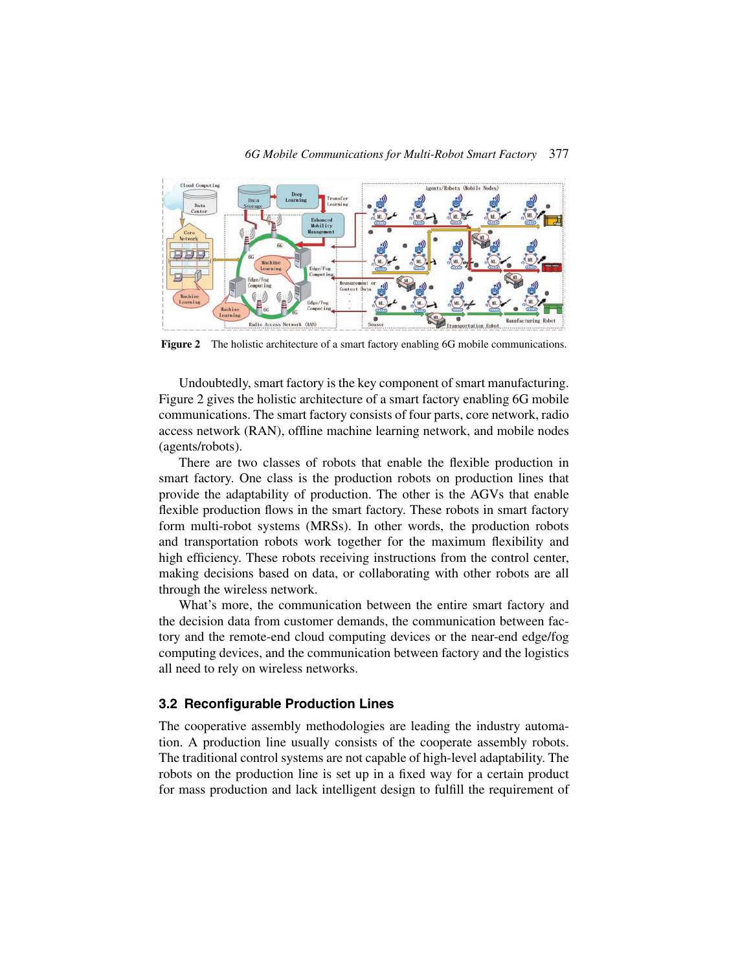



<span id="page-6-0"></span>**Figure 2** The holistic architecture of a smart factory enabling 6G mobile communications.

Undoubtedly, smart factory is the key component of smart manufacturing. Figure [2](#page-6-0) gives the holistic architecture of a smart factory enabling 6G mobile communications. The smart factory consists of four parts, core network, radio access network (RAN), offline machine learning network, and mobile nodes (agents/robots).

There are two classes of robots that enable the flexible production in smart factory. One class is the production robots on production lines that provide the adaptability of production. The other is the AGVs that enable flexible production flows in the smart factory. These robots in smart factory form multi-robot systems (MRSs). In other words, the production robots and transportation robots work together for the maximum flexibility and high efficiency. These robots receiving instructions from the control center, making decisions based on data, or collaborating with other robots are all through the wireless network.

What's more, the communication between the entire smart factory and the decision data from customer demands, the communication between factory and the remote-end cloud computing devices or the near-end edge/fog computing devices, and the communication between factory and the logistics all need to rely on wireless networks.

#### **3.2 Reconfigurable Production Lines**

The cooperative assembly methodologies are leading the industry automation. A production line usually consists of the cooperate assembly robots. The traditional control systems are not capable of high-level adaptability. The robots on the production line is set up in a fixed way for a certain product for mass production and lack intelligent design to fulfill the requirement of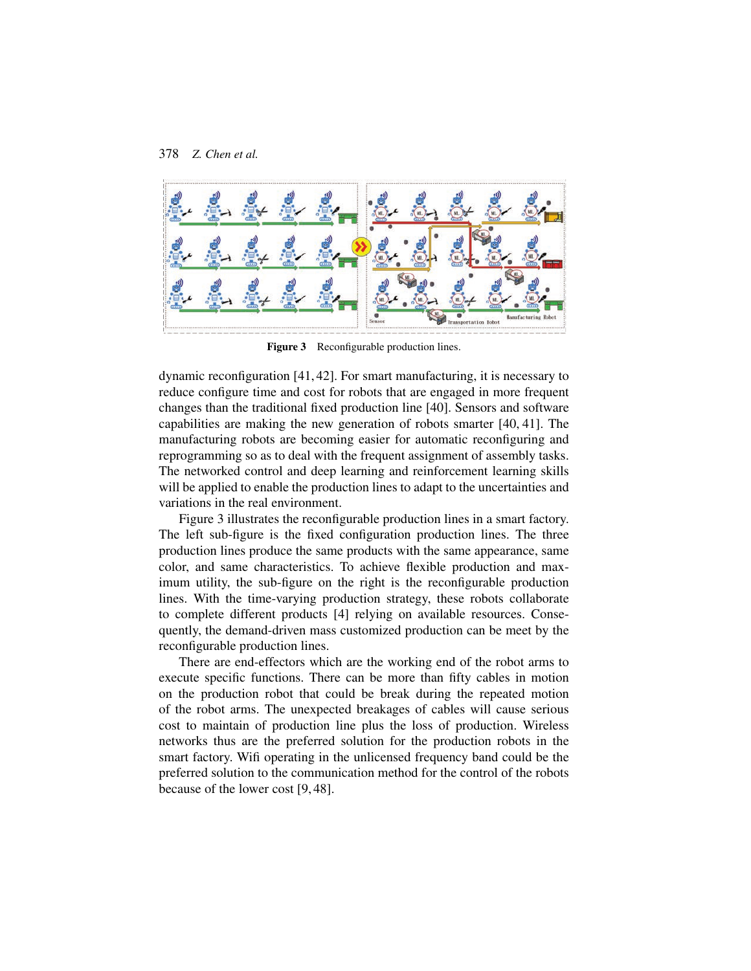

**Figure 3** Reconfigurable production lines.

<span id="page-7-0"></span>dynamic reconfiguration [\[41,](#page-25-8) [42\]](#page-25-7). For smart manufacturing, it is necessary to reduce configure time and cost for robots that are engaged in more frequent changes than the traditional fixed production line [\[40\]](#page-25-6). Sensors and software capabilities are making the new generation of robots smarter [\[40,](#page-25-6) [41\]](#page-25-8). The manufacturing robots are becoming easier for automatic reconfiguring and reprogramming so as to deal with the frequent assignment of assembly tasks. The networked control and deep learning and reinforcement learning skills will be applied to enable the production lines to adapt to the uncertainties and variations in the real environment.

Figure [3](#page-7-0) illustrates the reconfigurable production lines in a smart factory. The left sub-figure is the fixed configuration production lines. The three production lines produce the same products with the same appearance, same color, and same characteristics. To achieve flexible production and maximum utility, the sub-figure on the right is the reconfigurable production lines. With the time-varying production strategy, these robots collaborate to complete different products [\[4\]](#page-22-2) relying on available resources. Consequently, the demand-driven mass customized production can be meet by the reconfigurable production lines.

There are end-effectors which are the working end of the robot arms to execute specific functions. There can be more than fifty cables in motion on the production robot that could be break during the repeated motion of the robot arms. The unexpected breakages of cables will cause serious cost to maintain of production line plus the loss of production. Wireless networks thus are the preferred solution for the production robots in the smart factory. Wifi operating in the unlicensed frequency band could be the preferred solution to the communication method for the control of the robots because of the lower cost [\[9,](#page-23-0) [48\]](#page-26-5).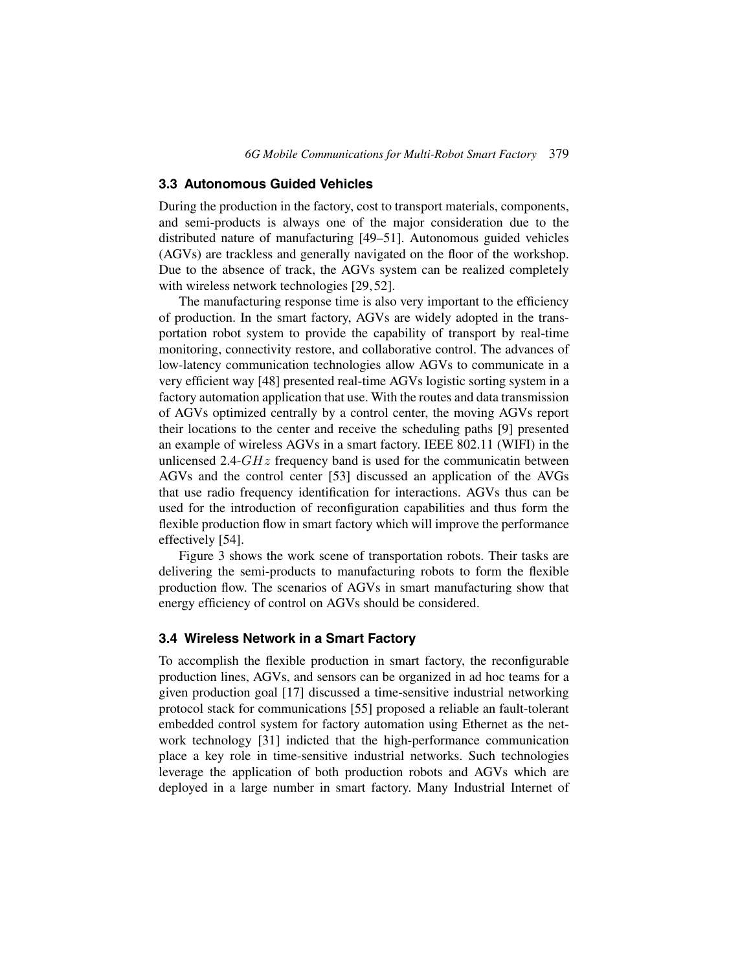## **3.3 Autonomous Guided Vehicles**

During the production in the factory, cost to transport materials, components, and semi-products is always one of the major consideration due to the distributed nature of manufacturing [\[49–](#page-26-6)[51\]](#page-26-7). Autonomous guided vehicles (AGVs) are trackless and generally navigated on the floor of the workshop. Due to the absence of track, the AGVs system can be realized completely with wireless network technologies [\[29,](#page-24-5) [52\]](#page-26-8).

The manufacturing response time is also very important to the efficiency of production. In the smart factory, AGVs are widely adopted in the transportation robot system to provide the capability of transport by real-time monitoring, connectivity restore, and collaborative control. The advances of low-latency communication technologies allow AGVs to communicate in a very efficient way [\[48\]](#page-26-5) presented real-time AGVs logistic sorting system in a factory automation application that use. With the routes and data transmission of AGVs optimized centrally by a control center, the moving AGVs report their locations to the center and receive the scheduling paths [\[9\]](#page-23-0) presented an example of wireless AGVs in a smart factory. IEEE 802.11 (WIFI) in the unlicensed 2.4- $GHz$  frequency band is used for the communicatin between AGVs and the control center [\[53\]](#page-26-9) discussed an application of the AVGs that use radio frequency identification for interactions. AGVs thus can be used for the introduction of reconfiguration capabilities and thus form the flexible production flow in smart factory which will improve the performance effectively [\[54\]](#page-27-0).

Figure [3](#page-7-0) shows the work scene of transportation robots. Their tasks are delivering the semi-products to manufacturing robots to form the flexible production flow. The scenarios of AGVs in smart manufacturing show that energy efficiency of control on AGVs should be considered.

## **3.4 Wireless Network in a Smart Factory**

To accomplish the flexible production in smart factory, the reconfigurable production lines, AGVs, and sensors can be organized in ad hoc teams for a given production goal [\[17\]](#page-23-6) discussed a time-sensitive industrial networking protocol stack for communications [\[55\]](#page-27-1) proposed a reliable an fault-tolerant embedded control system for factory automation using Ethernet as the network technology [\[31\]](#page-24-7) indicted that the high-performance communication place a key role in time-sensitive industrial networks. Such technologies leverage the application of both production robots and AGVs which are deployed in a large number in smart factory. Many Industrial Internet of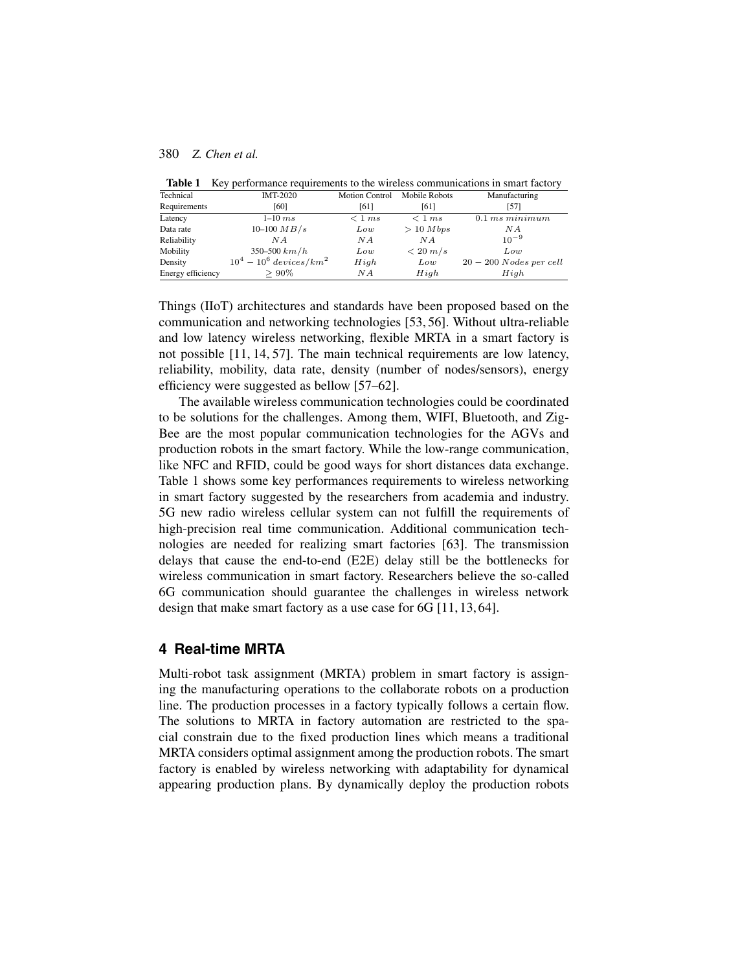<span id="page-9-0"></span>

|  |  | <b>Table 1</b> Key performance requirements to the wireless communications in smart factory |  |
|--|--|---------------------------------------------------------------------------------------------|--|
|  |  |                                                                                             |  |

| Technical         | <b>IMT-2020</b>                       | <b>Motion Control</b> | Mobile Robots       | Manufacturing           |
|-------------------|---------------------------------------|-----------------------|---------------------|-------------------------|
| Requirements      | [60]                                  | [61]                  | [61]                | [57]                    |
| Latency           | $1-10ms$                              | $\langle$ 1 ms        | $\langle$ 1 ms      | $0.1\ ms\ minimum$      |
| Data rate         | $10-100 \, MB/s$                      | Low                   | > 10 Mbps           | ΝA                      |
| Reliability       | N A                                   | ΝA                    | N A                 | $10^{-9}$               |
| Mobility          | $350 - 500 \ km/h$                    | Low                   | $\langle 20 \, m/s$ | Low                     |
| Density           | $10^4 - 10^6$ devices/km <sup>2</sup> | High                  | Low                 | $20-200$ Nodes per cell |
| Energy efficiency | $>90\%$                               | ΝA                    | High                | High                    |

Things (IIoT) architectures and standards have been proposed based on the communication and networking technologies [\[53,](#page-26-9) [56\]](#page-27-5). Without ultra-reliable and low latency wireless networking, flexible MRTA in a smart factory is not possible [\[11,](#page-23-2) [14,](#page-23-4) [57\]](#page-27-4). The main technical requirements are low latency, reliability, mobility, data rate, density (number of nodes/sensors), energy efficiency were suggested as bellow [\[57–](#page-27-4)[62\]](#page-27-6).

The available wireless communication technologies could be coordinated to be solutions for the challenges. Among them, WIFI, Bluetooth, and Zig-Bee are the most popular communication technologies for the AGVs and production robots in the smart factory. While the low-range communication, like NFC and RFID, could be good ways for short distances data exchange. Table [1](#page-9-0) shows some key performances requirements to wireless networking in smart factory suggested by the researchers from academia and industry. 5G new radio wireless cellular system can not fulfill the requirements of high-precision real time communication. Additional communication technologies are needed for realizing smart factories [\[63\]](#page-27-7). The transmission delays that cause the end-to-end (E2E) delay still be the bottlenecks for wireless communication in smart factory. Researchers believe the so-called 6G communication should guarantee the challenges in wireless network design that make smart factory as a use case for 6G [\[11,](#page-23-2) [13,](#page-23-3) [64\]](#page-27-8).

## **4 Real-time MRTA**

Multi-robot task assignment (MRTA) problem in smart factory is assigning the manufacturing operations to the collaborate robots on a production line. The production processes in a factory typically follows a certain flow. The solutions to MRTA in factory automation are restricted to the spacial constrain due to the fixed production lines which means a traditional MRTA considers optimal assignment among the production robots. The smart factory is enabled by wireless networking with adaptability for dynamical appearing production plans. By dynamically deploy the production robots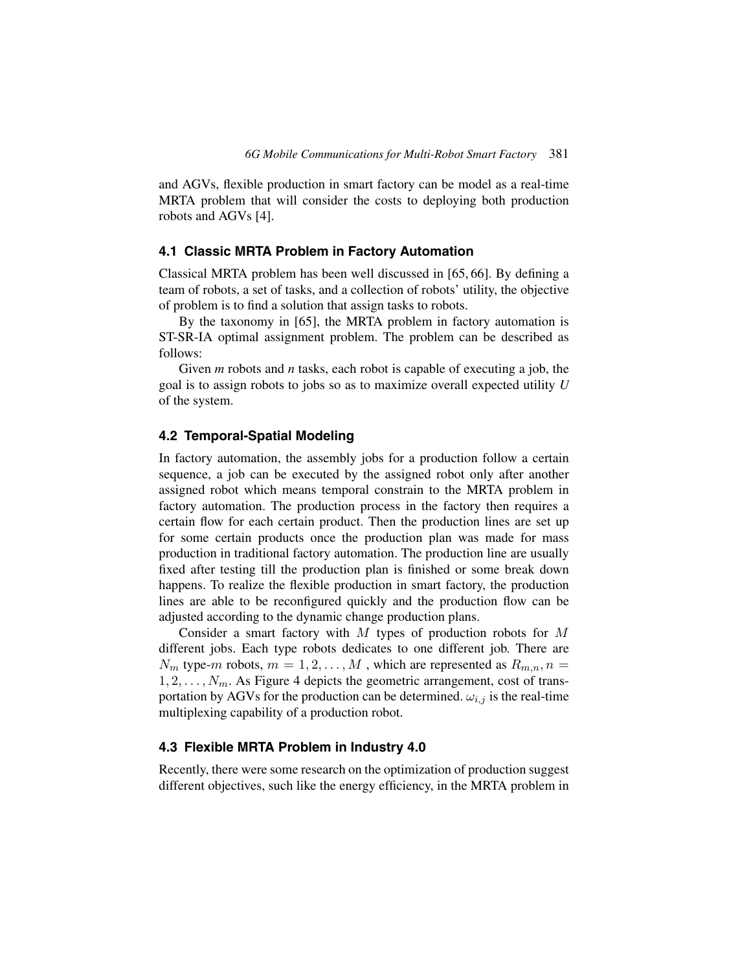and AGVs, flexible production in smart factory can be model as a real-time MRTA problem that will consider the costs to deploying both production robots and AGVs [\[4\]](#page-22-2).

## **4.1 Classic MRTA Problem in Factory Automation**

Classical MRTA problem has been well discussed in [\[65,](#page-28-0) [66\]](#page-28-1). By defining a team of robots, a set of tasks, and a collection of robots' utility, the objective of problem is to find a solution that assign tasks to robots.

By the taxonomy in [\[65\]](#page-28-0), the MRTA problem in factory automation is ST-SR-IA optimal assignment problem. The problem can be described as follows:

Given *m* robots and *n* tasks, each robot is capable of executing a job, the goal is to assign robots to jobs so as to maximize overall expected utility *U* of the system.

## **4.2 Temporal-Spatial Modeling**

In factory automation, the assembly jobs for a production follow a certain sequence, a job can be executed by the assigned robot only after another assigned robot which means temporal constrain to the MRTA problem in factory automation. The production process in the factory then requires a certain flow for each certain product. Then the production lines are set up for some certain products once the production plan was made for mass production in traditional factory automation. The production line are usually fixed after testing till the production plan is finished or some break down happens. To realize the flexible production in smart factory, the production lines are able to be reconfigured quickly and the production flow can be adjusted according to the dynamic change production plans.

Consider a smart factory with  $M$  types of production robots for  $M$ different jobs. Each type robots dedicates to one different job. There are  $N_m$  type-m robots,  $m = 1, 2, ..., M$ , which are represented as  $R_{m,n}$ ,  $n =$  $1, 2, \ldots, N_m$ . As Figure [4](#page-11-0) depicts the geometric arrangement, cost of transportation by AGVs for the production can be determined.  $\omega_{i,j}$  is the real-time multiplexing capability of a production robot.

#### **4.3 Flexible MRTA Problem in Industry 4.0**

Recently, there were some research on the optimization of production suggest different objectives, such like the energy efficiency, in the MRTA problem in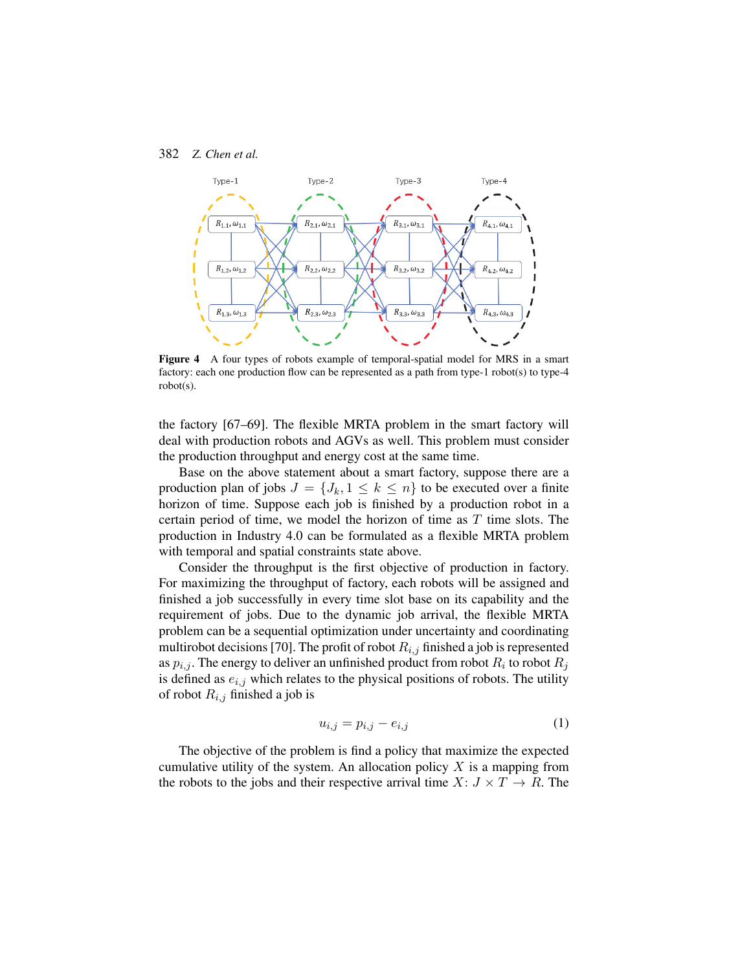

<span id="page-11-0"></span>**Figure 4** A four types of robots example of temporal-spatial model for MRS in a smart factory: each one production flow can be represented as a path from type-1 robot(s) to type-4 robot(s).

the factory [\[67–](#page-28-2)[69\]](#page-28-3). The flexible MRTA problem in the smart factory will deal with production robots and AGVs as well. This problem must consider the production throughput and energy cost at the same time.

Base on the above statement about a smart factory, suppose there are a production plan of jobs  $J = \{J_k, 1 \leq k \leq n\}$  to be executed over a finite horizon of time. Suppose each job is finished by a production robot in a certain period of time, we model the horizon of time as  $T$  time slots. The production in Industry 4.0 can be formulated as a flexible MRTA problem with temporal and spatial constraints state above.

Consider the throughput is the first objective of production in factory. For maximizing the throughput of factory, each robots will be assigned and finished a job successfully in every time slot base on its capability and the requirement of jobs. Due to the dynamic job arrival, the flexible MRTA problem can be a sequential optimization under uncertainty and coordinating multirobot decisions [\[70\]](#page-28-4). The profit of robot  $R_{i,j}$  finished a job is represented as  $p_{i,j}$ . The energy to deliver an unfinished product from robot  $R_i$  to robot  $R_j$ is defined as  $e_{i,j}$  which relates to the physical positions of robots. The utility of robot  $R_{i,j}$  finished a job is

$$
u_{i,j} = p_{i,j} - e_{i,j} \tag{1}
$$

The objective of the problem is find a policy that maximize the expected cumulative utility of the system. An allocation policy  $X$  is a mapping from the robots to the jobs and their respective arrival time  $X: J \times T \to R$ . The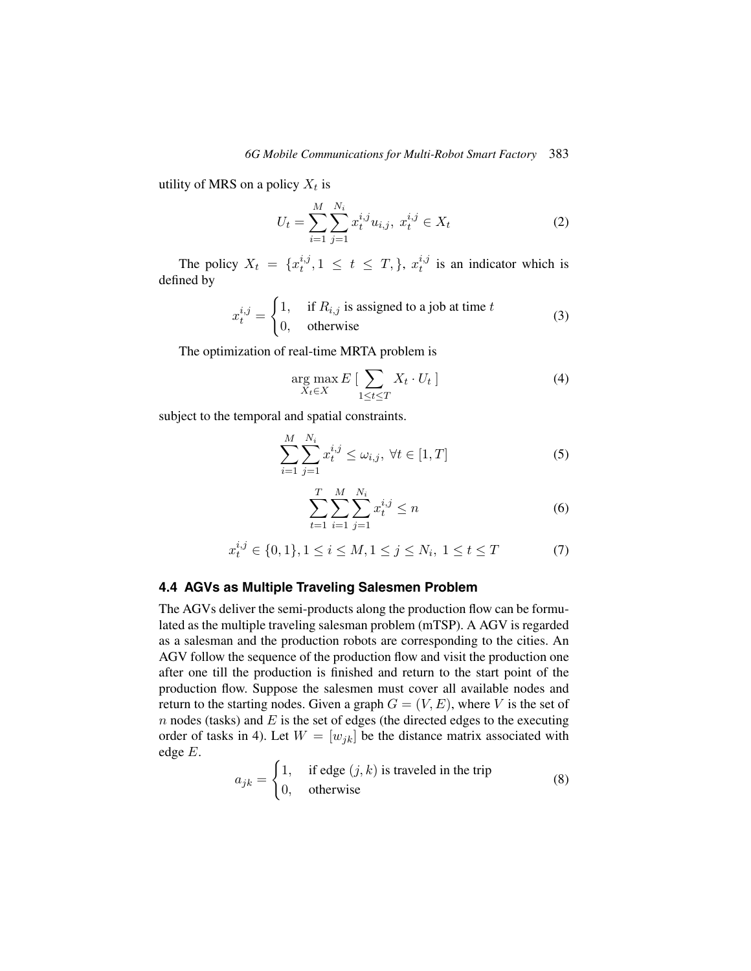utility of MRS on a policy  $X_t$  is

$$
U_t = \sum_{i=1}^{M} \sum_{j=1}^{N_i} x_t^{i,j} u_{i,j}, \ x_t^{i,j} \in X_t
$$
 (2)

The policy  $X_t = \{x_t^{i,j}\}$  $t^{i,j}, 1 \leq t \leq T, \}, \ x_t^{i,j}$  $t_i^{i,j}$  is an indicator which is defined by

$$
x_t^{i,j} = \begin{cases} 1, & \text{if } R_{i,j} \text{ is assigned to a job at time } t \\ 0, & \text{otherwise} \end{cases}
$$
 (3)

The optimization of real-time MRTA problem is

$$
\underset{X_t \in X}{\arg \max} E\left[\sum_{1 \le t \le T} X_t \cdot U_t\right] \tag{4}
$$

subject to the temporal and spatial constraints.

$$
\sum_{i=1}^{M} \sum_{j=1}^{N_i} x_t^{i,j} \le \omega_{i,j}, \ \forall t \in [1, T]
$$
 (5)

$$
\sum_{t=1}^{T} \sum_{i=1}^{M} \sum_{j=1}^{N_i} x_t^{i,j} \le n
$$
\n(6)

$$
x_t^{i,j} \in \{0,1\}, 1 \le i \le M, 1 \le j \le N_i, 1 \le t \le T \tag{7}
$$

## **4.4 AGVs as Multiple Traveling Salesmen Problem**

The AGVs deliver the semi-products along the production flow can be formulated as the multiple traveling salesman problem (mTSP). A AGV is regarded as a salesman and the production robots are corresponding to the cities. An AGV follow the sequence of the production flow and visit the production one after one till the production is finished and return to the start point of the production flow. Suppose the salesmen must cover all available nodes and return to the starting nodes. Given a graph  $G = (V, E)$ , where V is the set of  $n$  nodes (tasks) and  $E$  is the set of edges (the directed edges to the executing order of tasks in [4\)](#page-11-0). Let  $W = [w_{jk}]$  be the distance matrix associated with edge E.

$$
a_{jk} = \begin{cases} 1, & \text{if edge } (j,k) \text{ is traveled in the trip} \\ 0, & \text{otherwise} \end{cases}
$$
 (8)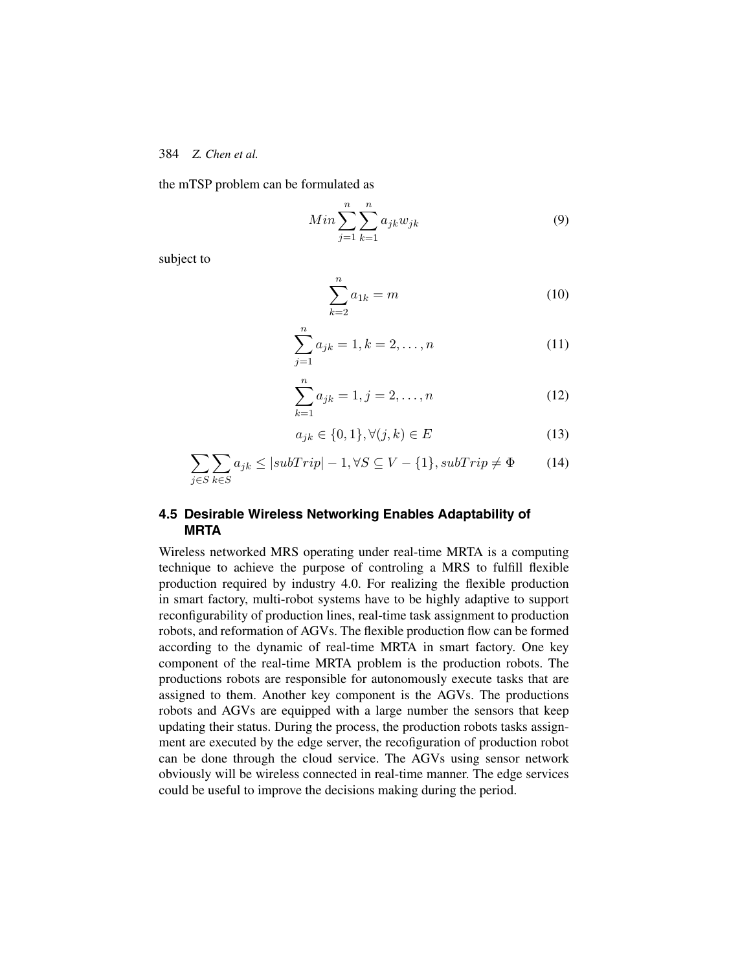the mTSP problem can be formulated as

$$
Min \sum_{j=1}^{n} \sum_{k=1}^{n} a_{jk} w_{jk}
$$
\n<sup>(9)</sup>

subject to

$$
\sum_{k=2}^{n} a_{1k} = m \tag{10}
$$

$$
\sum_{j=1}^{n} a_{jk} = 1, k = 2, \dots, n
$$
 (11)

$$
\sum_{k=1}^{n} a_{jk} = 1, j = 2, \dots, n
$$
 (12)

$$
a_{jk} \in \{0, 1\}, \forall (j, k) \in E \tag{13}
$$

$$
\sum_{j \in S} \sum_{k \in S} a_{jk} \le |subTrip| - 1, \forall S \subseteq V - \{1\}, subTrip \neq \Phi \tag{14}
$$

# **4.5 Desirable Wireless Networking Enables Adaptability of MRTA**

Wireless networked MRS operating under real-time MRTA is a computing technique to achieve the purpose of controling a MRS to fulfill flexible production required by industry 4.0. For realizing the flexible production in smart factory, multi-robot systems have to be highly adaptive to support reconfigurability of production lines, real-time task assignment to production robots, and reformation of AGVs. The flexible production flow can be formed according to the dynamic of real-time MRTA in smart factory. One key component of the real-time MRTA problem is the production robots. The productions robots are responsible for autonomously execute tasks that are assigned to them. Another key component is the AGVs. The productions robots and AGVs are equipped with a large number the sensors that keep updating their status. During the process, the production robots tasks assignment are executed by the edge server, the recofiguration of production robot can be done through the cloud service. The AGVs using sensor network obviously will be wireless connected in real-time manner. The edge services could be useful to improve the decisions making during the period.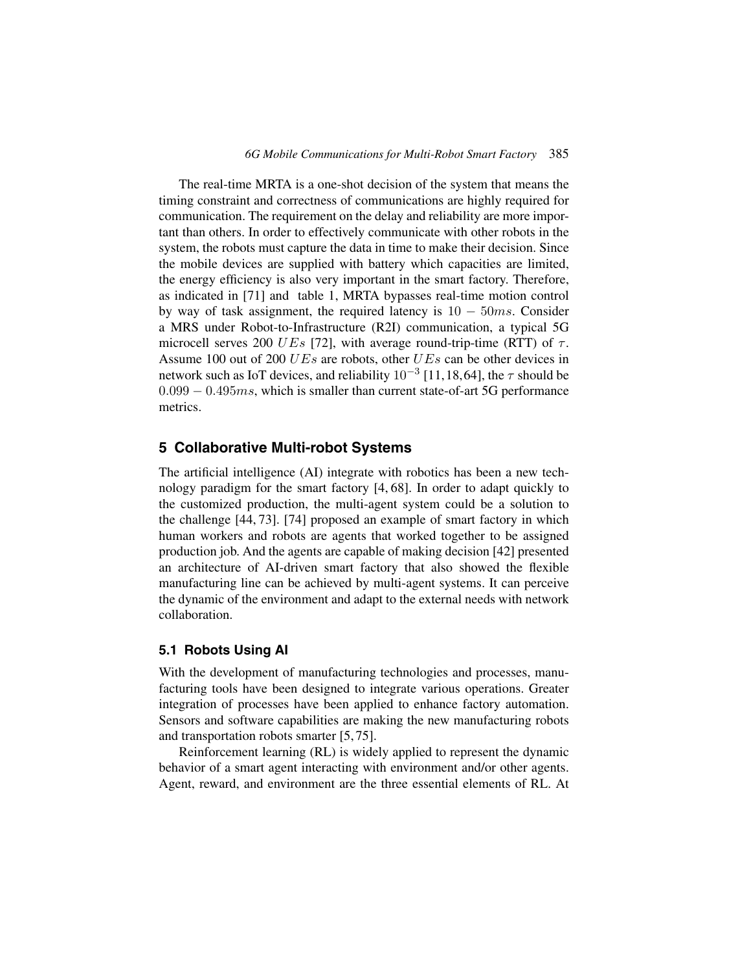The real-time MRTA is a one-shot decision of the system that means the timing constraint and correctness of communications are highly required for communication. The requirement on the delay and reliability are more important than others. In order to effectively communicate with other robots in the system, the robots must capture the data in time to make their decision. Since the mobile devices are supplied with battery which capacities are limited, the energy efficiency is also very important in the smart factory. Therefore, as indicated in [\[71\]](#page-28-5) and table [1,](#page-9-0) MRTA bypasses real-time motion control by way of task assignment, the required latency is  $10 - 50ms$ . Consider a MRS under Robot-to-Infrastructure (R2I) communication, a typical 5G microcell serves 200 UEs [\[72\]](#page-28-6), with average round-trip-time (RTT) of  $\tau$ . Assume 100 out of 200 *UEs* are robots, other *UEs* can be other devices in network such as IoT devices, and reliability  $10^{-3}$  [\[11,](#page-23-2)[18,](#page-23-7)[64\]](#page-27-8), the  $\tau$  should be  $0.099 - 0.495$  ms, which is smaller than current state-of-art 5G performance metrics.

# **5 Collaborative Multi-robot Systems**

The artificial intelligence (AI) integrate with robotics has been a new technology paradigm for the smart factory [\[4,](#page-22-2) [68\]](#page-28-7). In order to adapt quickly to the customized production, the multi-agent system could be a solution to the challenge [\[44,](#page-26-1) [73\]](#page-28-8). [\[74\]](#page-28-9) proposed an example of smart factory in which human workers and robots are agents that worked together to be assigned production job. And the agents are capable of making decision [\[42\]](#page-25-7) presented an architecture of AI-driven smart factory that also showed the flexible manufacturing line can be achieved by multi-agent systems. It can perceive the dynamic of the environment and adapt to the external needs with network collaboration.

## **5.1 Robots Using AI**

With the development of manufacturing technologies and processes, manufacturing tools have been designed to integrate various operations. Greater integration of processes have been applied to enhance factory automation. Sensors and software capabilities are making the new manufacturing robots and transportation robots smarter [\[5,](#page-22-3) [75\]](#page-28-10).

Reinforcement learning (RL) is widely applied to represent the dynamic behavior of a smart agent interacting with environment and/or other agents. Agent, reward, and environment are the three essential elements of RL. At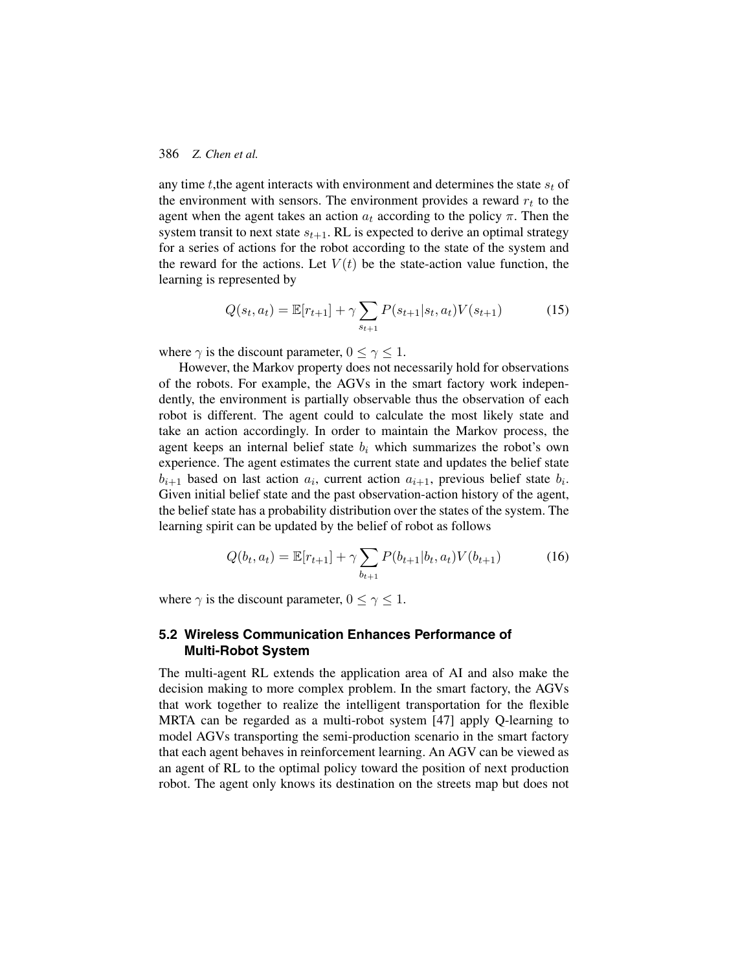any time t, the agent interacts with environment and determines the state  $s_t$  of the environment with sensors. The environment provides a reward  $r_t$  to the agent when the agent takes an action  $a_t$  according to the policy  $\pi$ . Then the system transit to next state  $s_{t+1}$ . RL is expected to derive an optimal strategy for a series of actions for the robot according to the state of the system and the reward for the actions. Let  $V(t)$  be the state-action value function, the learning is represented by

$$
Q(s_t, a_t) = \mathbb{E}[r_{t+1}] + \gamma \sum_{s_{t+1}} P(s_{t+1}|s_t, a_t) V(s_{t+1})
$$
(15)

where  $\gamma$  is the discount parameter,  $0 \leq \gamma \leq 1$ .

However, the Markov property does not necessarily hold for observations of the robots. For example, the AGVs in the smart factory work independently, the environment is partially observable thus the observation of each robot is different. The agent could to calculate the most likely state and take an action accordingly. In order to maintain the Markov process, the agent keeps an internal belief state  $b_i$  which summarizes the robot's own experience. The agent estimates the current state and updates the belief state  $b_{i+1}$  based on last action  $a_i$ , current action  $a_{i+1}$ , previous belief state  $b_i$ . Given initial belief state and the past observation-action history of the agent, the belief state has a probability distribution over the states of the system. The learning spirit can be updated by the belief of robot as follows

$$
Q(b_t, a_t) = \mathbb{E}[r_{t+1}] + \gamma \sum_{b_{t+1}} P(b_{t+1}|b_t, a_t) V(b_{t+1})
$$
\n(16)

where  $\gamma$  is the discount parameter,  $0 \le \gamma \le 1$ .

# **5.2 Wireless Communication Enhances Performance of Multi-Robot System**

The multi-agent RL extends the application area of AI and also make the decision making to more complex problem. In the smart factory, the AGVs that work together to realize the intelligent transportation for the flexible MRTA can be regarded as a multi-robot system [\[47\]](#page-26-4) apply Q-learning to model AGVs transporting the semi-production scenario in the smart factory that each agent behaves in reinforcement learning. An AGV can be viewed as an agent of RL to the optimal policy toward the position of next production robot. The agent only knows its destination on the streets map but does not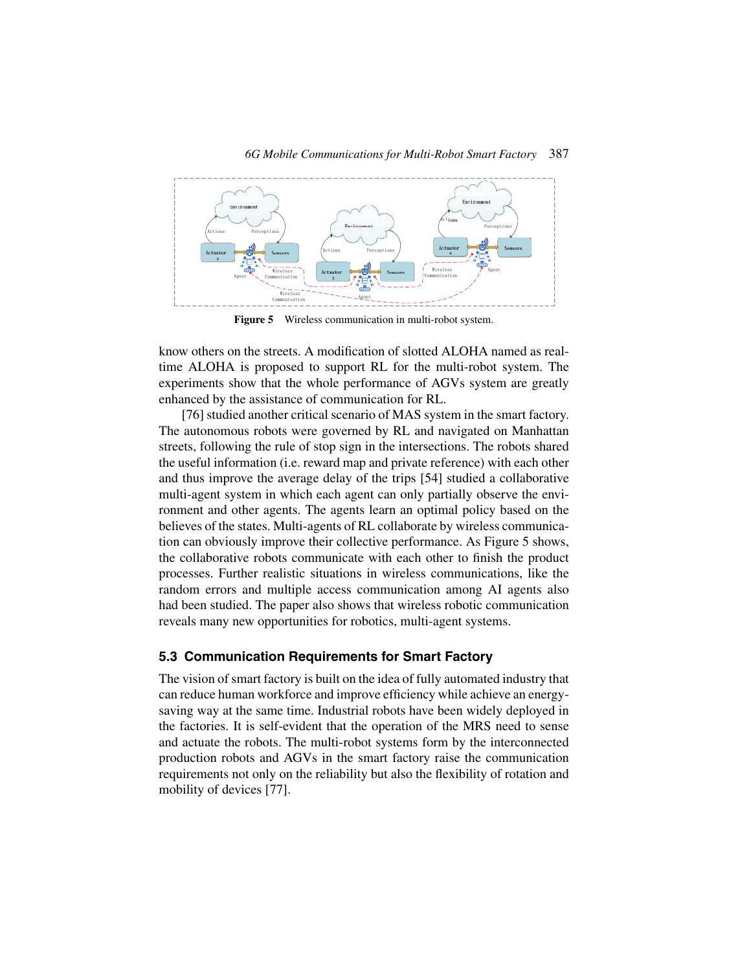

<span id="page-16-0"></span>**Figure 5** Wireless communication in multi-robot system.

know others on the streets. A modification of slotted ALOHA named as realtime ALOHA is proposed to support RL for the multi-robot system. The experiments show that the whole performance of AGVs system are greatly enhanced by the assistance of communication for RL.

[\[76\]](#page-28-11) studied another critical scenario of MAS system in the smart factory. The autonomous robots were governed by RL and navigated on Manhattan streets, following the rule of stop sign in the intersections. The robots shared the useful information (i.e. reward map and private reference) with each other and thus improve the average delay of the trips [\[54\]](#page-27-0) studied a collaborative multi-agent system in which each agent can only partially observe the environment and other agents. The agents learn an optimal policy based on the believes of the states. Multi-agents of RL collaborate by wireless communication can obviously improve their collective performance. As Figure [5](#page-16-0) shows, the collaborative robots communicate with each other to finish the product processes. Further realistic situations in wireless communications, like the random errors and multiple access communication among AI agents also had been studied. The paper also shows that wireless robotic communication reveals many new opportunities for robotics, multi-agent systems.

#### **5.3 Communication Requirements for Smart Factory**

The vision of smart factory is built on the idea of fully automated industry that can reduce human workforce and improve efficiency while achieve an energysaving way at the same time. Industrial robots have been widely deployed in the factories. It is self-evident that the operation of the MRS need to sense and actuate the robots. The multi-robot systems form by the interconnected production robots and AGVs in the smart factory raise the communication requirements not only on the reliability but also the flexibility of rotation and mobility of devices [\[77\]](#page-29-0).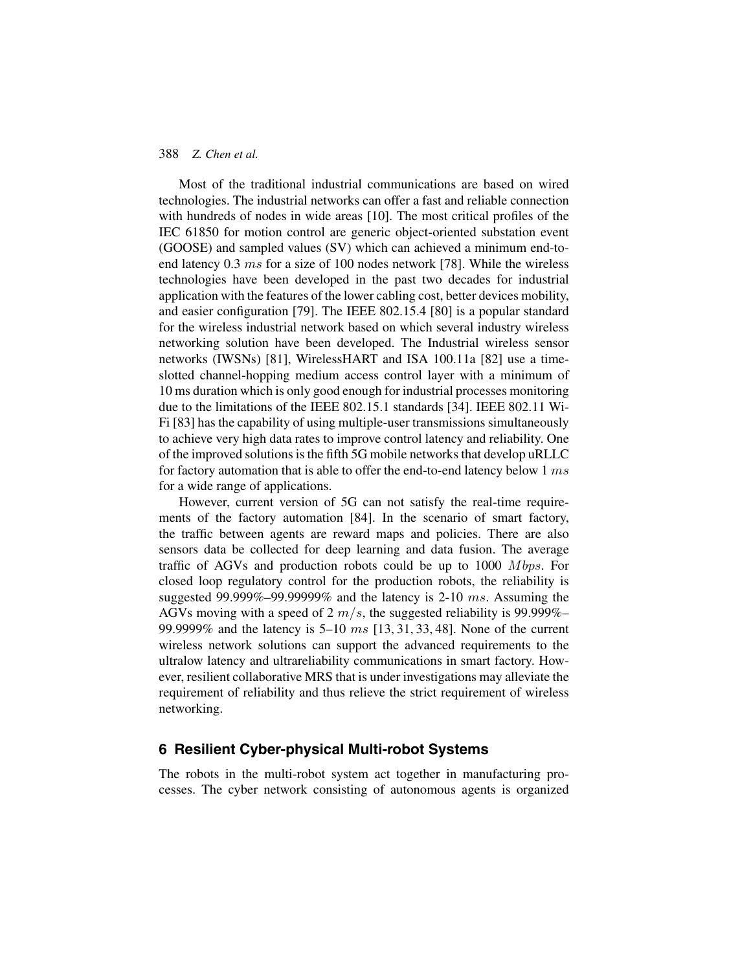Most of the traditional industrial communications are based on wired technologies. The industrial networks can offer a fast and reliable connection with hundreds of nodes in wide areas [\[10\]](#page-23-1). The most critical profiles of the IEC 61850 for motion control are generic object-oriented substation event (GOOSE) and sampled values (SV) which can achieved a minimum end-toend latency 0.3 ms for a size of 100 nodes network [\[78\]](#page-29-1). While the wireless technologies have been developed in the past two decades for industrial application with the features of the lower cabling cost, better devices mobility, and easier configuration [\[79\]](#page-29-2). The IEEE 802.15.4 [\[80\]](#page-29-3) is a popular standard for the wireless industrial network based on which several industry wireless networking solution have been developed. The Industrial wireless sensor networks (IWSNs) [\[81\]](#page-29-4), WirelessHART and ISA 100.11a [\[82\]](#page-29-5) use a timeslotted channel-hopping medium access control layer with a minimum of 10 ms duration which is only good enough for industrial processes monitoring due to the limitations of the IEEE 802.15.1 standards [\[34\]](#page-25-1). IEEE 802.11 Wi-Fi [\[83\]](#page-29-6) has the capability of using multiple-user transmissions simultaneously to achieve very high data rates to improve control latency and reliability. One of the improved solutions is the fifth 5G mobile networks that develop uRLLC for factory automation that is able to offer the end-to-end latency below 1 ms for a wide range of applications.

However, current version of 5G can not satisfy the real-time requirements of the factory automation [\[84\]](#page-29-7). In the scenario of smart factory, the traffic between agents are reward maps and policies. There are also sensors data be collected for deep learning and data fusion. The average traffic of AGVs and production robots could be up to  $1000$  Mbps. For closed loop regulatory control for the production robots, the reliability is suggested 99.999%–99.99999% and the latency is  $2-10$  ms. Assuming the AGVs moving with a speed of 2  $m/s$ , the suggested reliability is 99.999%– 99.9999% and the latency is 5–10 ms [\[13,](#page-23-3) [31,](#page-24-7) [33,](#page-25-9) [48\]](#page-26-5). None of the current wireless network solutions can support the advanced requirements to the ultralow latency and ultrareliability communications in smart factory. However, resilient collaborative MRS that is under investigations may alleviate the requirement of reliability and thus relieve the strict requirement of wireless networking.

# **6 Resilient Cyber-physical Multi-robot Systems**

The robots in the multi-robot system act together in manufacturing processes. The cyber network consisting of autonomous agents is organized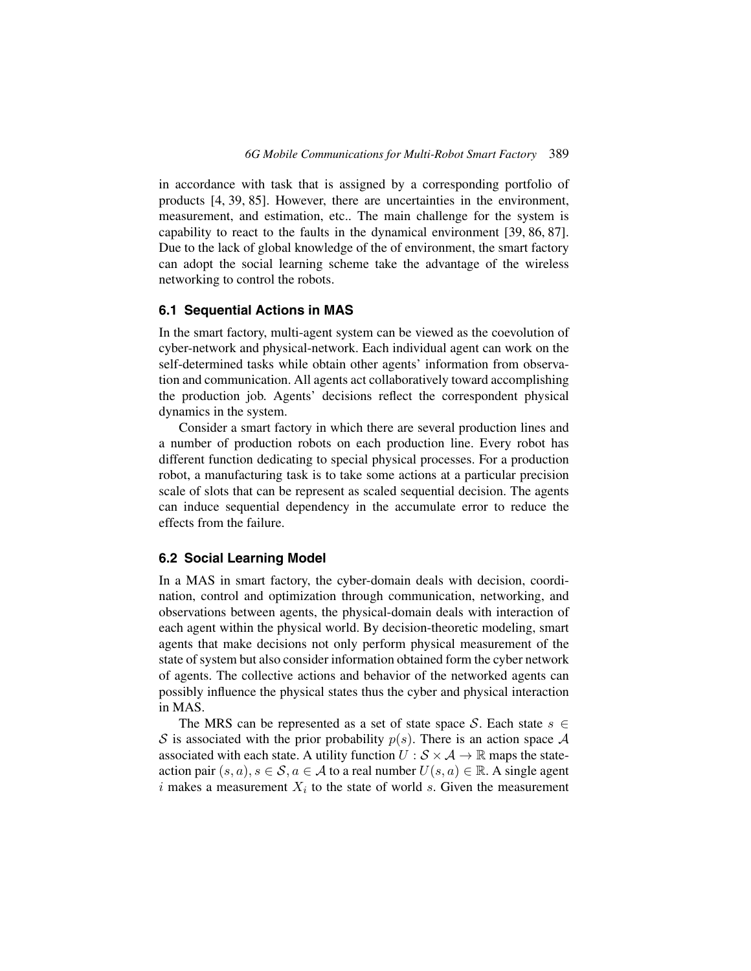in accordance with task that is assigned by a corresponding portfolio of products [\[4,](#page-22-2) [39,](#page-25-5) [85\]](#page-29-8). However, there are uncertainties in the environment, measurement, and estimation, etc.. The main challenge for the system is capability to react to the faults in the dynamical environment [\[39,](#page-25-5) [86,](#page-29-9) [87\]](#page-29-10). Due to the lack of global knowledge of the of environment, the smart factory can adopt the social learning scheme take the advantage of the wireless networking to control the robots.

## **6.1 Sequential Actions in MAS**

In the smart factory, multi-agent system can be viewed as the coevolution of cyber-network and physical-network. Each individual agent can work on the self-determined tasks while obtain other agents' information from observation and communication. All agents act collaboratively toward accomplishing the production job. Agents' decisions reflect the correspondent physical dynamics in the system.

Consider a smart factory in which there are several production lines and a number of production robots on each production line. Every robot has different function dedicating to special physical processes. For a production robot, a manufacturing task is to take some actions at a particular precision scale of slots that can be represent as scaled sequential decision. The agents can induce sequential dependency in the accumulate error to reduce the effects from the failure.

### **6.2 Social Learning Model**

In a MAS in smart factory, the cyber-domain deals with decision, coordination, control and optimization through communication, networking, and observations between agents, the physical-domain deals with interaction of each agent within the physical world. By decision-theoretic modeling, smart agents that make decisions not only perform physical measurement of the state of system but also consider information obtained form the cyber network of agents. The collective actions and behavior of the networked agents can possibly influence the physical states thus the cyber and physical interaction in MAS.

The MRS can be represented as a set of state space S. Each state  $s \in \mathbb{R}$ S is associated with the prior probability  $p(s)$ . There is an action space A associated with each state. A utility function  $U : \mathcal{S} \times \mathcal{A} \to \mathbb{R}$  maps the stateaction pair  $(s, a), s \in \mathcal{S}, a \in \mathcal{A}$  to a real number  $U(s, a) \in \mathbb{R}$ . A single agent i makes a measurement  $X_i$  to the state of world s. Given the measurement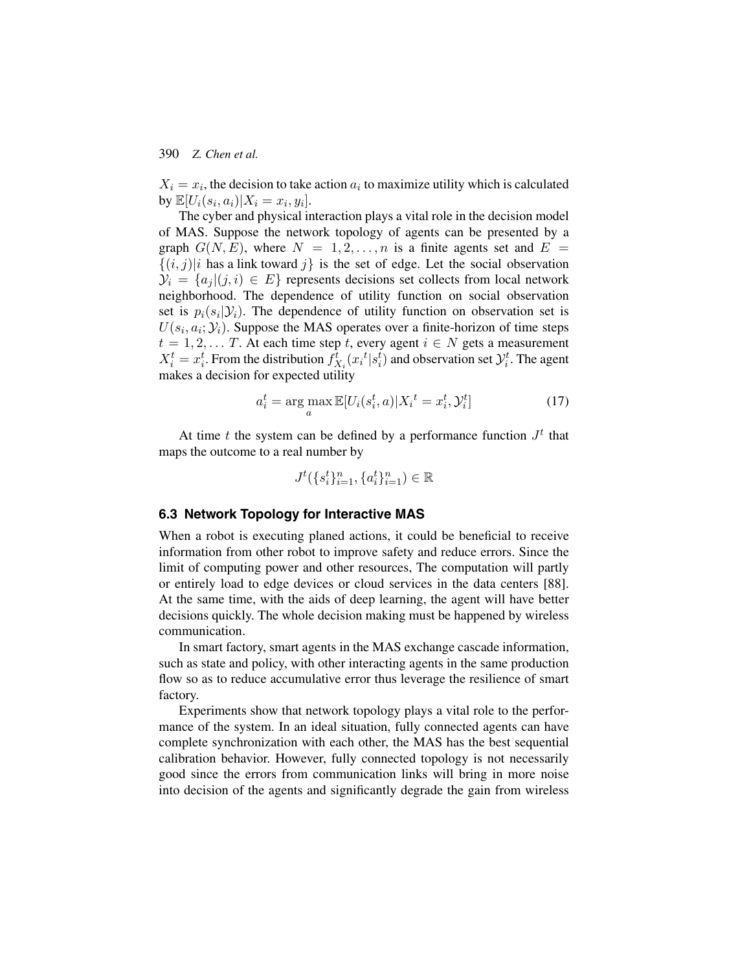$X_i = x_i$ , the decision to take action  $a_i$  to maximize utility which is calculated by  $\mathbb{E}[U_i(s_i, a_i)|X_i = x_i, y_i].$ 

The cyber and physical interaction plays a vital role in the decision model of MAS. Suppose the network topology of agents can be presented by a graph  $G(N, E)$ , where  $N = 1, 2, ..., n$  is a finite agents set and  $E =$  $\{(i, j)|i \text{ has a link toward } j\}$  is the set of edge. Let the social observation  $\mathcal{Y}_i = \{a_i | (j, i) \in E\}$  represents decisions set collects from local network neighborhood. The dependence of utility function on social observation set is  $p_i(s_i|\mathcal{Y}_i)$ . The dependence of utility function on observation set is  $U(s_i, a_i; \mathcal{Y}_i)$ . Suppose the MAS operates over a finite-horizon of time steps  $t = 1, 2, \dots T$ . At each time step t, every agent  $i \in N$  gets a measurement  $X_i^t = x_i^t$ . From the distribution  $f_{X_i}^t(x_i^t | s_i^t)$  and observation set  $\mathcal{Y}_i^t$ . The agent makes a decision for expected utility

$$
a_i^t = \arg\max_a \mathbb{E}[U_i(s_i^t, a) | X_i^t = x_i^t, \mathcal{Y}_i^t]
$$
\n(17)

At time t the system can be defined by a performance function  $J<sup>t</sup>$  that maps the outcome to a real number by

$$
J^t(\{s_i^t\}_{i=1}^n, \{a_i^t\}_{i=1}^n) \in \mathbb{R}
$$

## **6.3 Network Topology for Interactive MAS**

When a robot is executing planed actions, it could be beneficial to receive information from other robot to improve safety and reduce errors. Since the limit of computing power and other resources, The computation will partly or entirely load to edge devices or cloud services in the data centers [\[88\]](#page-30-0). At the same time, with the aids of deep learning, the agent will have better decisions quickly. The whole decision making must be happened by wireless communication.

In smart factory, smart agents in the MAS exchange cascade information, such as state and policy, with other interacting agents in the same production flow so as to reduce accumulative error thus leverage the resilience of smart factory.

Experiments show that network topology plays a vital role to the performance of the system. In an ideal situation, fully connected agents can have complete synchronization with each other, the MAS has the best sequential calibration behavior. However, fully connected topology is not necessarily good since the errors from communication links will bring in more noise into decision of the agents and significantly degrade the gain from wireless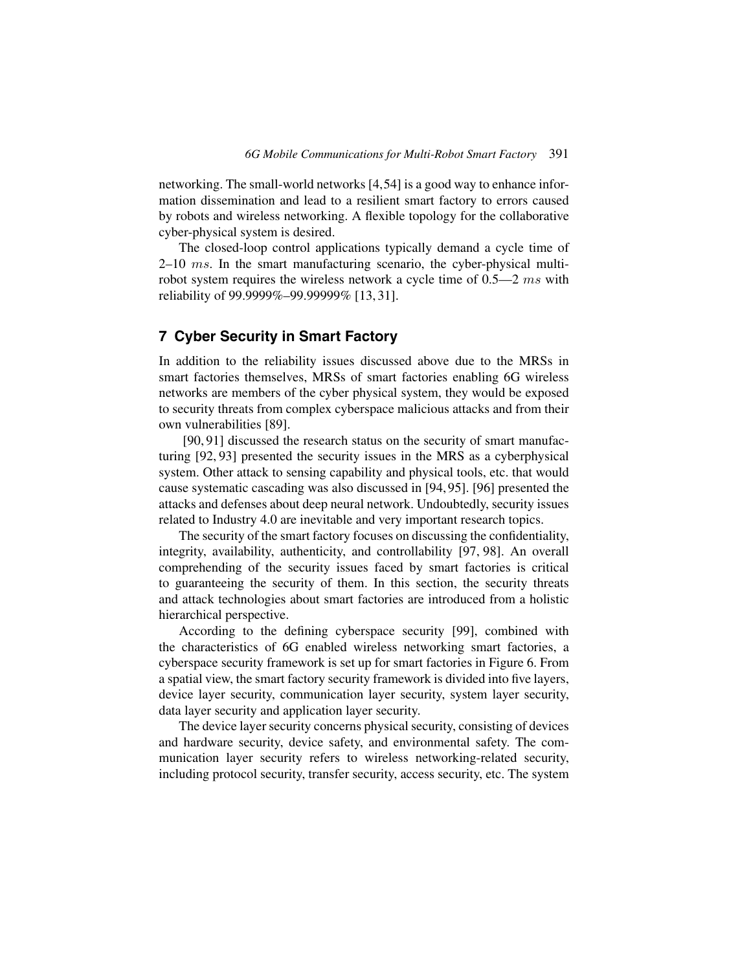networking. The small-world networks [\[4,](#page-22-2)[54\]](#page-27-0) is a good way to enhance information dissemination and lead to a resilient smart factory to errors caused by robots and wireless networking. A flexible topology for the collaborative cyber-physical system is desired.

The closed-loop control applications typically demand a cycle time of  $2-10$  ms. In the smart manufacturing scenario, the cyber-physical multirobot system requires the wireless network a cycle time of  $0.5-2$  ms with reliability of 99.9999%–99.99999% [\[13,](#page-23-3) [31\]](#page-24-7).

# **7 Cyber Security in Smart Factory**

In addition to the reliability issues discussed above due to the MRSs in smart factories themselves, MRSs of smart factories enabling 6G wireless networks are members of the cyber physical system, they would be exposed to security threats from complex cyberspace malicious attacks and from their own vulnerabilities [\[89\]](#page-30-1).

[\[90,](#page-30-2) [91\]](#page-30-3) discussed the research status on the security of smart manufacturing [\[92,](#page-30-4) [93\]](#page-30-5) presented the security issues in the MRS as a cyberphysical system. Other attack to sensing capability and physical tools, etc. that would cause systematic cascading was also discussed in [\[94,](#page-30-6) [95\]](#page-30-7). [\[96\]](#page-30-8) presented the attacks and defenses about deep neural network. Undoubtedly, security issues related to Industry 4.0 are inevitable and very important research topics.

The security of the smart factory focuses on discussing the confidentiality, integrity, availability, authenticity, and controllability [\[97,](#page-30-9) [98\]](#page-30-10). An overall comprehending of the security issues faced by smart factories is critical to guaranteeing the security of them. In this section, the security threats and attack technologies about smart factories are introduced from a holistic hierarchical perspective.

According to the defining cyberspace security [\[99\]](#page-30-11), combined with the characteristics of 6G enabled wireless networking smart factories, a cyberspace security framework is set up for smart factories in Figure [6.](#page-21-0) From a spatial view, the smart factory security framework is divided into five layers, device layer security, communication layer security, system layer security, data layer security and application layer security.

The device layer security concerns physical security, consisting of devices and hardware security, device safety, and environmental safety. The communication layer security refers to wireless networking-related security, including protocol security, transfer security, access security, etc. The system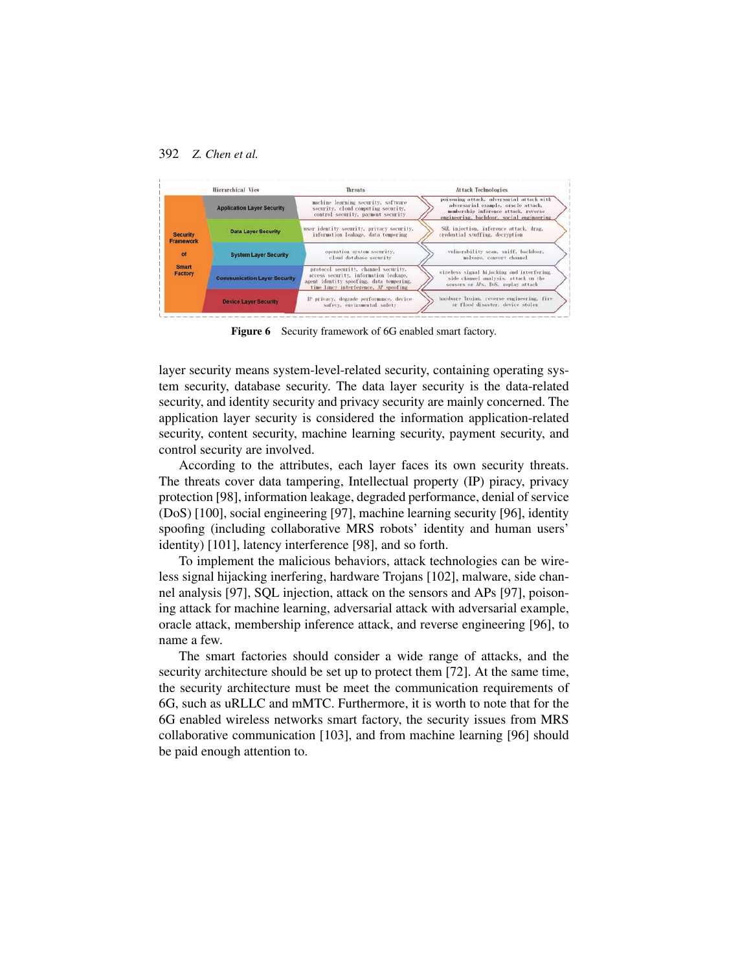

<span id="page-21-0"></span>Figure 6 Security framework of 6G enabled smart factory.

layer security means system-level-related security, containing operating system security, database security. The data layer security is the data-related security, and identity security and privacy security are mainly concerned. The application layer security is considered the information application-related security, content security, machine learning security, payment security, and control security are involved.

According to the attributes, each layer faces its own security threats. The threats cover data tampering, Intellectual property (IP) piracy, privacy protection [\[98\]](#page-30-10), information leakage, degraded performance, denial of service (DoS) [\[100\]](#page-30-12), social engineering [\[97\]](#page-30-9), machine learning security [\[96\]](#page-30-8), identity spoofing (including collaborative MRS robots' identity and human users' identity) [\[101\]](#page-31-0), latency interference [\[98\]](#page-30-10), and so forth.

To implement the malicious behaviors, attack technologies can be wireless signal hijacking inerfering, hardware Trojans [\[102\]](#page-31-1), malware, side channel analysis [\[97\]](#page-30-9), SQL injection, attack on the sensors and APs [\[97\]](#page-30-9), poisoning attack for machine learning, adversarial attack with adversarial example, oracle attack, membership inference attack, and reverse engineering [\[96\]](#page-30-8), to name a few.

The smart factories should consider a wide range of attacks, and the security architecture should be set up to protect them [\[72\]](#page-28-6). At the same time, the security architecture must be meet the communication requirements of 6G, such as uRLLC and mMTC. Furthermore, it is worth to note that for the 6G enabled wireless networks smart factory, the security issues from MRS collaborative communication [\[103\]](#page-31-2), and from machine learning [\[96\]](#page-30-8) should be paid enough attention to.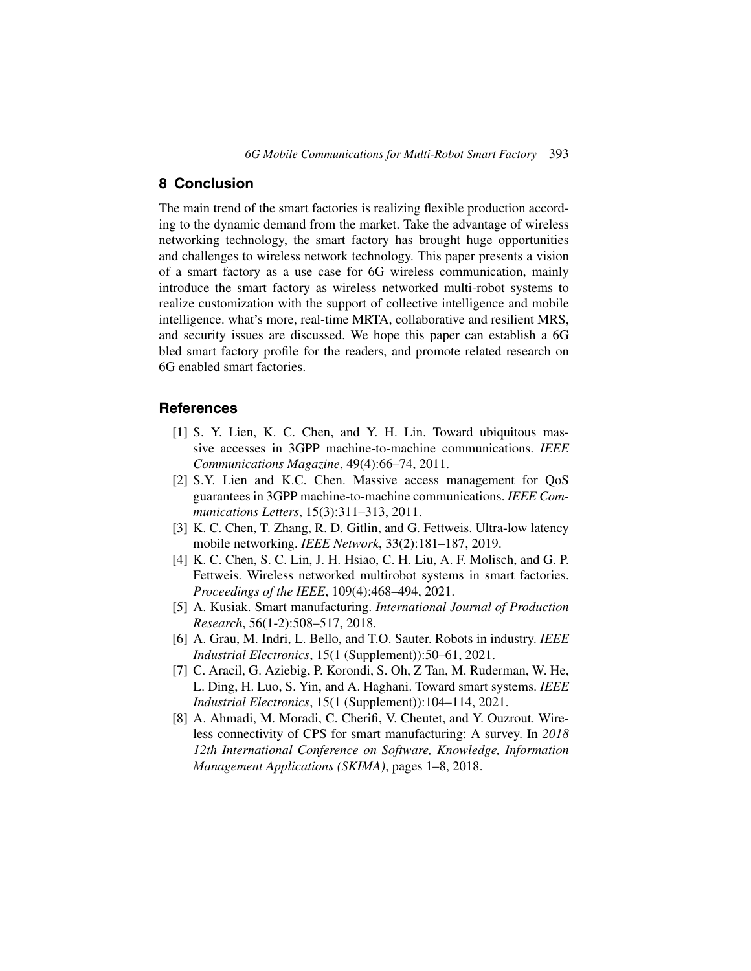# **8 Conclusion**

The main trend of the smart factories is realizing flexible production according to the dynamic demand from the market. Take the advantage of wireless networking technology, the smart factory has brought huge opportunities and challenges to wireless network technology. This paper presents a vision of a smart factory as a use case for 6G wireless communication, mainly introduce the smart factory as wireless networked multi-robot systems to realize customization with the support of collective intelligence and mobile intelligence. what's more, real-time MRTA, collaborative and resilient MRS, and security issues are discussed. We hope this paper can establish a 6G bled smart factory profile for the readers, and promote related research on 6G enabled smart factories.

## **References**

- <span id="page-22-0"></span>[1] S. Y. Lien, K. C. Chen, and Y. H. Lin. Toward ubiquitous massive accesses in 3GPP machine-to-machine communications. *IEEE Communications Magazine*, 49(4):66–74, 2011.
- <span id="page-22-7"></span>[2] S.Y. Lien and K.C. Chen. Massive access management for QoS guarantees in 3GPP machine-to-machine communications. *IEEE Communications Letters*, 15(3):311–313, 2011.
- <span id="page-22-1"></span>[3] K. C. Chen, T. Zhang, R. D. Gitlin, and G. Fettweis. Ultra-low latency mobile networking. *IEEE Network*, 33(2):181–187, 2019.
- <span id="page-22-2"></span>[4] K. C. Chen, S. C. Lin, J. H. Hsiao, C. H. Liu, A. F. Molisch, and G. P. Fettweis. Wireless networked multirobot systems in smart factories. *Proceedings of the IEEE*, 109(4):468–494, 2021.
- <span id="page-22-3"></span>[5] A. Kusiak. Smart manufacturing. *International Journal of Production Research*, 56(1-2):508–517, 2018.
- <span id="page-22-4"></span>[6] A. Grau, M. Indri, L. Bello, and T.O. Sauter. Robots in industry. *IEEE Industrial Electronics*, 15(1 (Supplement)):50–61, 2021.
- <span id="page-22-5"></span>[7] C. Aracil, G. Aziebig, P. Korondi, S. Oh, Z Tan, M. Ruderman, W. He, L. Ding, H. Luo, S. Yin, and A. Haghani. Toward smart systems. *IEEE Industrial Electronics*, 15(1 (Supplement)):104–114, 2021.
- <span id="page-22-6"></span>[8] A. Ahmadi, M. Moradi, C. Cherifi, V. Cheutet, and Y. Ouzrout. Wireless connectivity of CPS for smart manufacturing: A survey. In *2018 12th International Conference on Software, Knowledge, Information Management Applications (SKIMA)*, pages 1–8, 2018.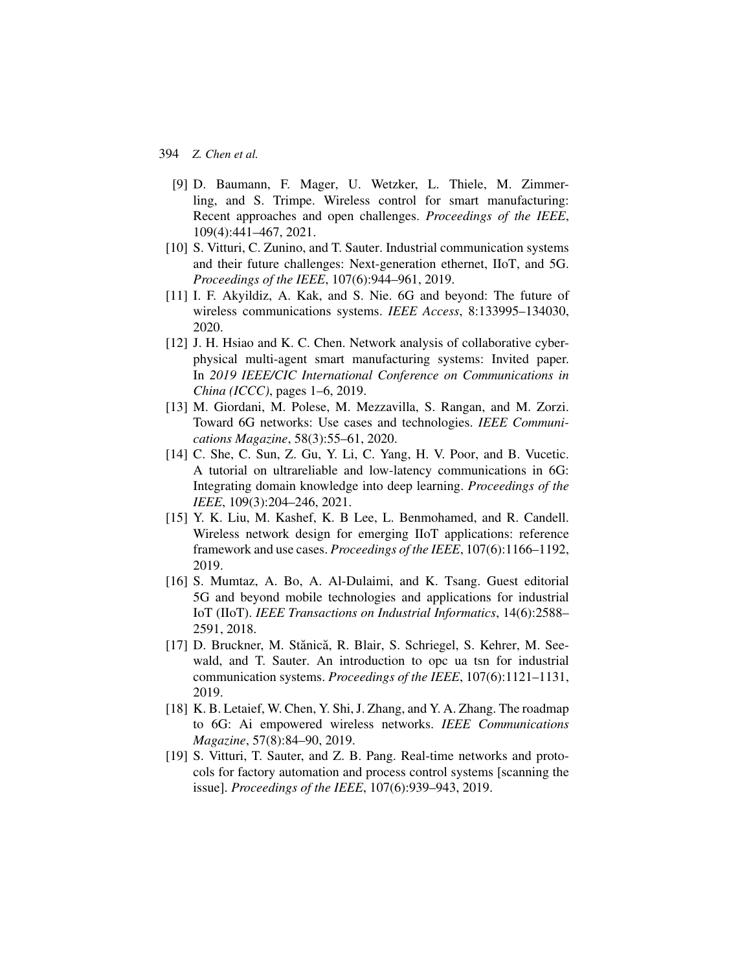- <span id="page-23-0"></span>[9] D. Baumann, F. Mager, U. Wetzker, L. Thiele, M. Zimmerling, and S. Trimpe. Wireless control for smart manufacturing: Recent approaches and open challenges. *Proceedings of the IEEE*, 109(4):441–467, 2021.
- <span id="page-23-1"></span>[10] S. Vitturi, C. Zunino, and T. Sauter. Industrial communication systems and their future challenges: Next-generation ethernet, IIoT, and 5G. *Proceedings of the IEEE*, 107(6):944–961, 2019.
- <span id="page-23-2"></span>[11] I. F. Akyildiz, A. Kak, and S. Nie. 6G and beyond: The future of wireless communications systems. *IEEE Access*, 8:133995–134030, 2020.
- [12] J. H. Hsiao and K. C. Chen. Network analysis of collaborative cyberphysical multi-agent smart manufacturing systems: Invited paper. In *2019 IEEE/CIC International Conference on Communications in China (ICCC)*, pages 1–6, 2019.
- <span id="page-23-3"></span>[13] M. Giordani, M. Polese, M. Mezzavilla, S. Rangan, and M. Zorzi. Toward 6G networks: Use cases and technologies. *IEEE Communications Magazine*, 58(3):55–61, 2020.
- <span id="page-23-4"></span>[14] C. She, C. Sun, Z. Gu, Y. Li, C. Yang, H. V. Poor, and B. Vucetic. A tutorial on ultrareliable and low-latency communications in 6G: Integrating domain knowledge into deep learning. *Proceedings of the IEEE*, 109(3):204–246, 2021.
- <span id="page-23-5"></span>[15] Y. K. Liu, M. Kashef, K. B Lee, L. Benmohamed, and R. Candell. Wireless network design for emerging IIoT applications: reference framework and use cases. *Proceedings of the IEEE*, 107(6):1166–1192, 2019.
- [16] S. Mumtaz, A. Bo, A. Al-Dulaimi, and K. Tsang. Guest editorial 5G and beyond mobile technologies and applications for industrial IoT (IIoT). *IEEE Transactions on Industrial Informatics*, 14(6):2588– 2591, 2018.
- <span id="page-23-6"></span>[17] D. Bruckner, M. Stănică, R. Blair, S. Schriegel, S. Kehrer, M. Seewald, and T. Sauter. An introduction to opc ua tsn for industrial communication systems. *Proceedings of the IEEE*, 107(6):1121–1131, 2019.
- <span id="page-23-7"></span>[18] K. B. Letaief, W. Chen, Y. Shi, J. Zhang, and Y. A. Zhang. The roadmap to 6G: Ai empowered wireless networks. *IEEE Communications Magazine*, 57(8):84–90, 2019.
- <span id="page-23-8"></span>[19] S. Vitturi, T. Sauter, and Z. B. Pang. Real-time networks and protocols for factory automation and process control systems [scanning the issue]. *Proceedings of the IEEE*, 107(6):939–943, 2019.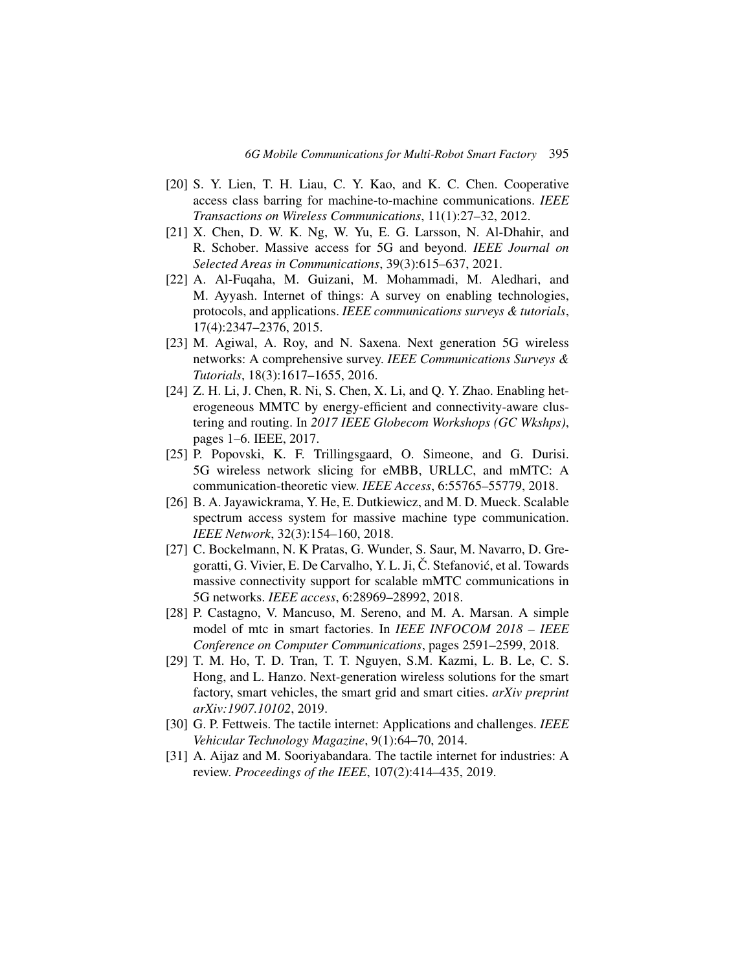- <span id="page-24-0"></span>[20] S. Y. Lien, T. H. Liau, C. Y. Kao, and K. C. Chen. Cooperative access class barring for machine-to-machine communications. *IEEE Transactions on Wireless Communications*, 11(1):27–32, 2012.
- <span id="page-24-1"></span>[21] X. Chen, D. W. K. Ng, W. Yu, E. G. Larsson, N. Al-Dhahir, and R. Schober. Massive access for 5G and beyond. *IEEE Journal on Selected Areas in Communications*, 39(3):615–637, 2021.
- <span id="page-24-2"></span>[22] A. Al-Fuqaha, M. Guizani, M. Mohammadi, M. Aledhari, and M. Ayyash. Internet of things: A survey on enabling technologies, protocols, and applications. *IEEE communications surveys & tutorials*, 17(4):2347–2376, 2015.
- [23] M. Agiwal, A. Roy, and N. Saxena. Next generation 5G wireless networks: A comprehensive survey. *IEEE Communications Surveys & Tutorials*, 18(3):1617–1655, 2016.
- [24] Z. H. Li, J. Chen, R. Ni, S. Chen, X. Li, and Q. Y. Zhao. Enabling heterogeneous MMTC by energy-efficient and connectivity-aware clustering and routing. In *2017 IEEE Globecom Workshops (GC Wkshps)*, pages 1–6. IEEE, 2017.
- [25] P. Popovski, K. F. Trillingsgaard, O. Simeone, and G. Durisi. 5G wireless network slicing for eMBB, URLLC, and mMTC: A communication-theoretic view. *IEEE Access*, 6:55765–55779, 2018.
- [26] B. A. Jayawickrama, Y. He, E. Dutkiewicz, and M. D. Mueck. Scalable spectrum access system for massive machine type communication. *IEEE Network*, 32(3):154–160, 2018.
- <span id="page-24-3"></span>[27] C. Bockelmann, N. K Pratas, G. Wunder, S. Saur, M. Navarro, D. Gregoratti, G. Vivier, E. De Carvalho, Y. L. Ji, C. Stefanović, et al. Towards massive connectivity support for scalable mMTC communications in 5G networks. *IEEE access*, 6:28969–28992, 2018.
- <span id="page-24-4"></span>[28] P. Castagno, V. Mancuso, M. Sereno, and M. A. Marsan. A simple model of mtc in smart factories. In *IEEE INFOCOM 2018 – IEEE Conference on Computer Communications*, pages 2591–2599, 2018.
- <span id="page-24-5"></span>[29] T. M. Ho, T. D. Tran, T. T. Nguyen, S.M. Kazmi, L. B. Le, C. S. Hong, and L. Hanzo. Next-generation wireless solutions for the smart factory, smart vehicles, the smart grid and smart cities. *arXiv preprint arXiv:1907.10102*, 2019.
- <span id="page-24-6"></span>[30] G. P. Fettweis. The tactile internet: Applications and challenges. *IEEE Vehicular Technology Magazine*, 9(1):64–70, 2014.
- <span id="page-24-7"></span>[31] A. Aijaz and M. Sooriyabandara. The tactile internet for industries: A review. *Proceedings of the IEEE*, 107(2):414–435, 2019.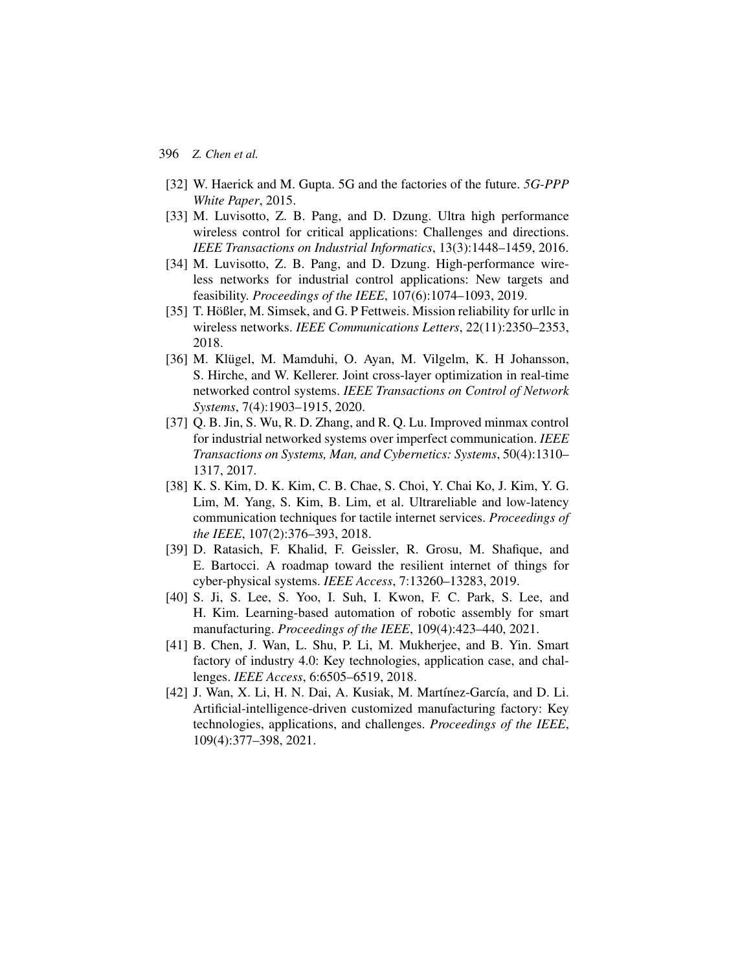- <span id="page-25-0"></span>[32] W. Haerick and M. Gupta. 5G and the factories of the future. *5G-PPP White Paper*, 2015.
- <span id="page-25-9"></span>[33] M. Luvisotto, Z. B. Pang, and D. Dzung. Ultra high performance wireless control for critical applications: Challenges and directions. *IEEE Transactions on Industrial Informatics*, 13(3):1448–1459, 2016.
- <span id="page-25-1"></span>[34] M. Luvisotto, Z. B. Pang, and D. Dzung. High-performance wireless networks for industrial control applications: New targets and feasibility. *Proceedings of the IEEE*, 107(6):1074–1093, 2019.
- <span id="page-25-2"></span>[35] T. Hößler, M. Simsek, and G. P Fettweis. Mission reliability for urllc in wireless networks. *IEEE Communications Letters*, 22(11):2350–2353, 2018.
- [36] M. Klügel, M. Mamduhi, O. Ayan, M. Vilgelm, K. H Johansson, S. Hirche, and W. Kellerer. Joint cross-layer optimization in real-time networked control systems. *IEEE Transactions on Control of Network Systems*, 7(4):1903–1915, 2020.
- <span id="page-25-3"></span>[37] Q. B. Jin, S. Wu, R. D. Zhang, and R. Q. Lu. Improved minmax control for industrial networked systems over imperfect communication. *IEEE Transactions on Systems, Man, and Cybernetics: Systems*, 50(4):1310– 1317, 2017.
- <span id="page-25-4"></span>[38] K. S. Kim, D. K. Kim, C. B. Chae, S. Choi, Y. Chai Ko, J. Kim, Y. G. Lim, M. Yang, S. Kim, B. Lim, et al. Ultrareliable and low-latency communication techniques for tactile internet services. *Proceedings of the IEEE*, 107(2):376–393, 2018.
- <span id="page-25-5"></span>[39] D. Ratasich, F. Khalid, F. Geissler, R. Grosu, M. Shafique, and E. Bartocci. A roadmap toward the resilient internet of things for cyber-physical systems. *IEEE Access*, 7:13260–13283, 2019.
- <span id="page-25-6"></span>[40] S. Ji, S. Lee, S. Yoo, I. Suh, I. Kwon, F. C. Park, S. Lee, and H. Kim. Learning-based automation of robotic assembly for smart manufacturing. *Proceedings of the IEEE*, 109(4):423–440, 2021.
- <span id="page-25-8"></span>[41] B. Chen, J. Wan, L. Shu, P. Li, M. Mukherjee, and B. Yin. Smart factory of industry 4.0: Key technologies, application case, and challenges. *IEEE Access*, 6:6505–6519, 2018.
- <span id="page-25-7"></span>[42] J. Wan, X. Li, H. N. Dai, A. Kusiak, M. Martínez-García, and D. Li. Artificial-intelligence-driven customized manufacturing factory: Key technologies, applications, and challenges. *Proceedings of the IEEE*, 109(4):377–398, 2021.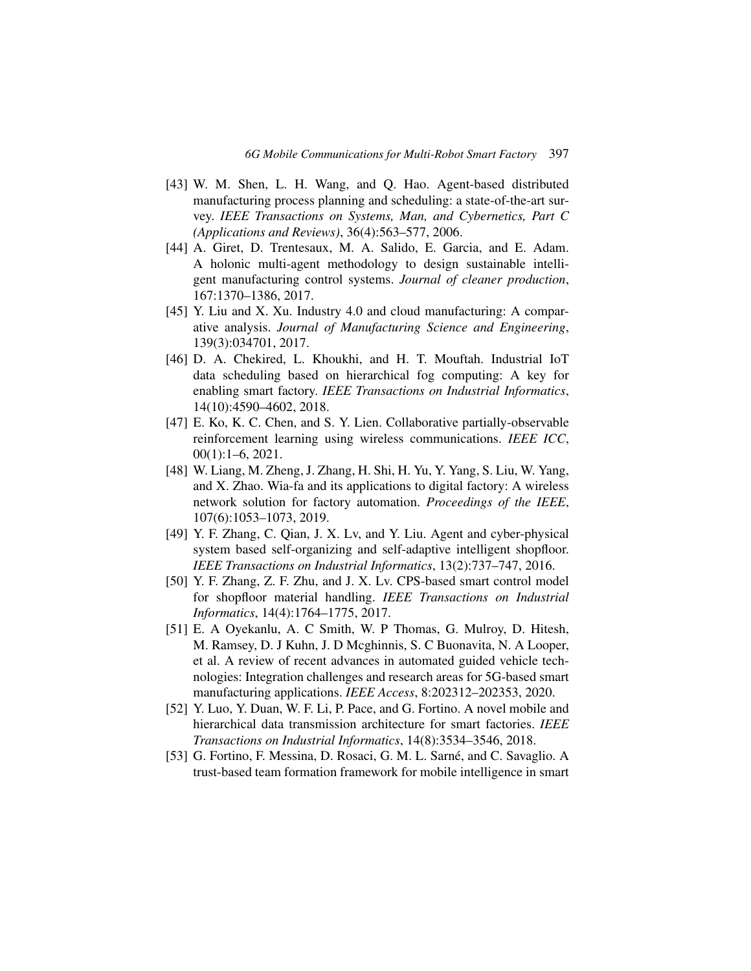- <span id="page-26-0"></span>[43] W. M. Shen, L. H. Wang, and Q. Hao. Agent-based distributed manufacturing process planning and scheduling: a state-of-the-art survey. *IEEE Transactions on Systems, Man, and Cybernetics, Part C (Applications and Reviews)*, 36(4):563–577, 2006.
- <span id="page-26-1"></span>[44] A. Giret, D. Trentesaux, M. A. Salido, E. Garcia, and E. Adam. A holonic multi-agent methodology to design sustainable intelligent manufacturing control systems. *Journal of cleaner production*, 167:1370–1386, 2017.
- <span id="page-26-2"></span>[45] Y. Liu and X. Xu. Industry 4.0 and cloud manufacturing: A comparative analysis. *Journal of Manufacturing Science and Engineering*, 139(3):034701, 2017.
- <span id="page-26-3"></span>[46] D. A. Chekired, L. Khoukhi, and H. T. Mouftah. Industrial IoT data scheduling based on hierarchical fog computing: A key for enabling smart factory. *IEEE Transactions on Industrial Informatics*, 14(10):4590–4602, 2018.
- <span id="page-26-4"></span>[47] E. Ko, K. C. Chen, and S. Y. Lien. Collaborative partially-observable reinforcement learning using wireless communications. *IEEE ICC*, 00(1):1–6, 2021.
- <span id="page-26-5"></span>[48] W. Liang, M. Zheng, J. Zhang, H. Shi, H. Yu, Y. Yang, S. Liu, W. Yang, and X. Zhao. Wia-fa and its applications to digital factory: A wireless network solution for factory automation. *Proceedings of the IEEE*, 107(6):1053–1073, 2019.
- <span id="page-26-6"></span>[49] Y. F. Zhang, C. Qian, J. X. Lv, and Y. Liu. Agent and cyber-physical system based self-organizing and self-adaptive intelligent shopfloor. *IEEE Transactions on Industrial Informatics*, 13(2):737–747, 2016.
- [50] Y. F. Zhang, Z. F. Zhu, and J. X. Lv. CPS-based smart control model for shopfloor material handling. *IEEE Transactions on Industrial Informatics*, 14(4):1764–1775, 2017.
- <span id="page-26-7"></span>[51] E. A Oyekanlu, A. C Smith, W. P Thomas, G. Mulroy, D. Hitesh, M. Ramsey, D. J Kuhn, J. D Mcghinnis, S. C Buonavita, N. A Looper, et al. A review of recent advances in automated guided vehicle technologies: Integration challenges and research areas for 5G-based smart manufacturing applications. *IEEE Access*, 8:202312–202353, 2020.
- <span id="page-26-8"></span>[52] Y. Luo, Y. Duan, W. F. Li, P. Pace, and G. Fortino. A novel mobile and hierarchical data transmission architecture for smart factories. *IEEE Transactions on Industrial Informatics*, 14(8):3534–3546, 2018.
- <span id="page-26-9"></span>[53] G. Fortino, F. Messina, D. Rosaci, G. M. L. Sarné, and C. Savaglio. A trust-based team formation framework for mobile intelligence in smart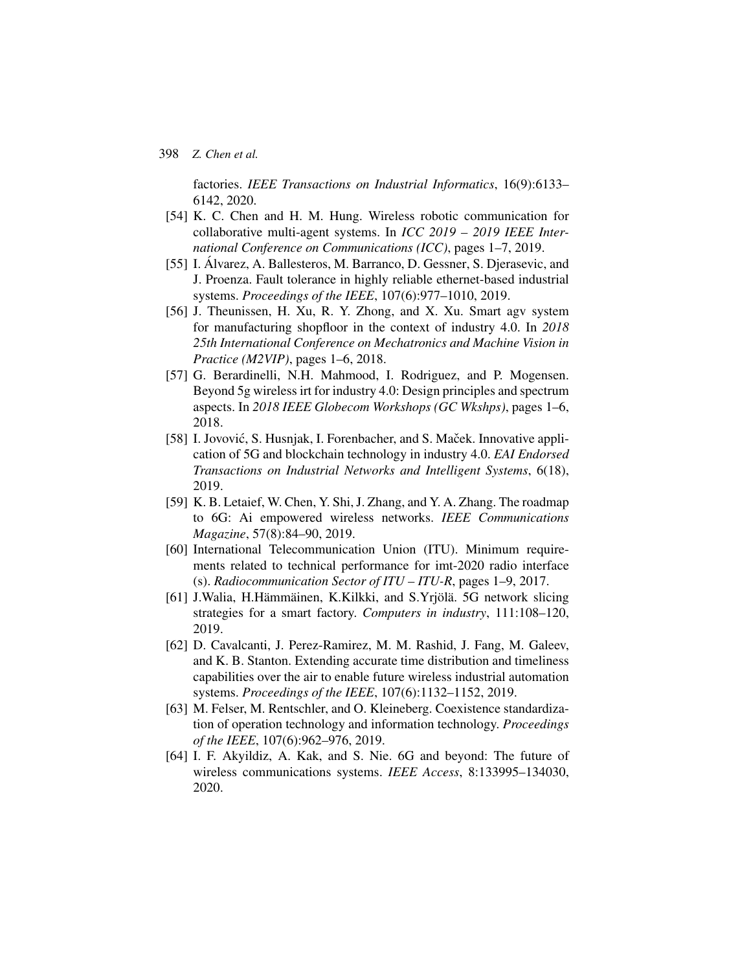factories. *IEEE Transactions on Industrial Informatics*, 16(9):6133– 6142, 2020.

- <span id="page-27-0"></span>[54] K. C. Chen and H. M. Hung. Wireless robotic communication for collaborative multi-agent systems. In *ICC 2019 – 2019 IEEE International Conference on Communications (ICC)*, pages 1–7, 2019.
- <span id="page-27-1"></span>[55] I. Álvarez, A. Ballesteros, M. Barranco, D. Gessner, S. Djerasevic, and J. Proenza. Fault tolerance in highly reliable ethernet-based industrial systems. *Proceedings of the IEEE*, 107(6):977–1010, 2019.
- <span id="page-27-5"></span>[56] J. Theunissen, H. Xu, R. Y. Zhong, and X. Xu. Smart agv system for manufacturing shopfloor in the context of industry 4.0. In *2018 25th International Conference on Mechatronics and Machine Vision in Practice (M2VIP)*, pages 1–6, 2018.
- <span id="page-27-4"></span>[57] G. Berardinelli, N.H. Mahmood, I. Rodriguez, and P. Mogensen. Beyond 5g wireless irt for industry 4.0: Design principles and spectrum aspects. In *2018 IEEE Globecom Workshops (GC Wkshps)*, pages 1–6, 2018.
- [58] I. Jovović, S. Husnjak, I. Forenbacher, and S. Maček. Innovative application of 5G and blockchain technology in industry 4.0. *EAI Endorsed Transactions on Industrial Networks and Intelligent Systems*, 6(18), 2019.
- [59] K. B. Letaief, W. Chen, Y. Shi, J. Zhang, and Y. A. Zhang. The roadmap to 6G: Ai empowered wireless networks. *IEEE Communications Magazine*, 57(8):84–90, 2019.
- <span id="page-27-2"></span>[60] International Telecommunication Union (ITU). Minimum requirements related to technical performance for imt-2020 radio interface (s). *Radiocommunication Sector of ITU – ITU-R*, pages 1–9, 2017.
- <span id="page-27-3"></span>[61] J.Walia, H.Hämmäinen, K.Kilkki, and S.Yrjölä. 5G network slicing strategies for a smart factory. *Computers in industry*, 111:108–120, 2019.
- <span id="page-27-6"></span>[62] D. Cavalcanti, J. Perez-Ramirez, M. M. Rashid, J. Fang, M. Galeev, and K. B. Stanton. Extending accurate time distribution and timeliness capabilities over the air to enable future wireless industrial automation systems. *Proceedings of the IEEE*, 107(6):1132–1152, 2019.
- <span id="page-27-7"></span>[63] M. Felser, M. Rentschler, and O. Kleineberg. Coexistence standardization of operation technology and information technology. *Proceedings of the IEEE*, 107(6):962–976, 2019.
- <span id="page-27-8"></span>[64] I. F. Akyildiz, A. Kak, and S. Nie. 6G and beyond: The future of wireless communications systems. *IEEE Access*, 8:133995–134030, 2020.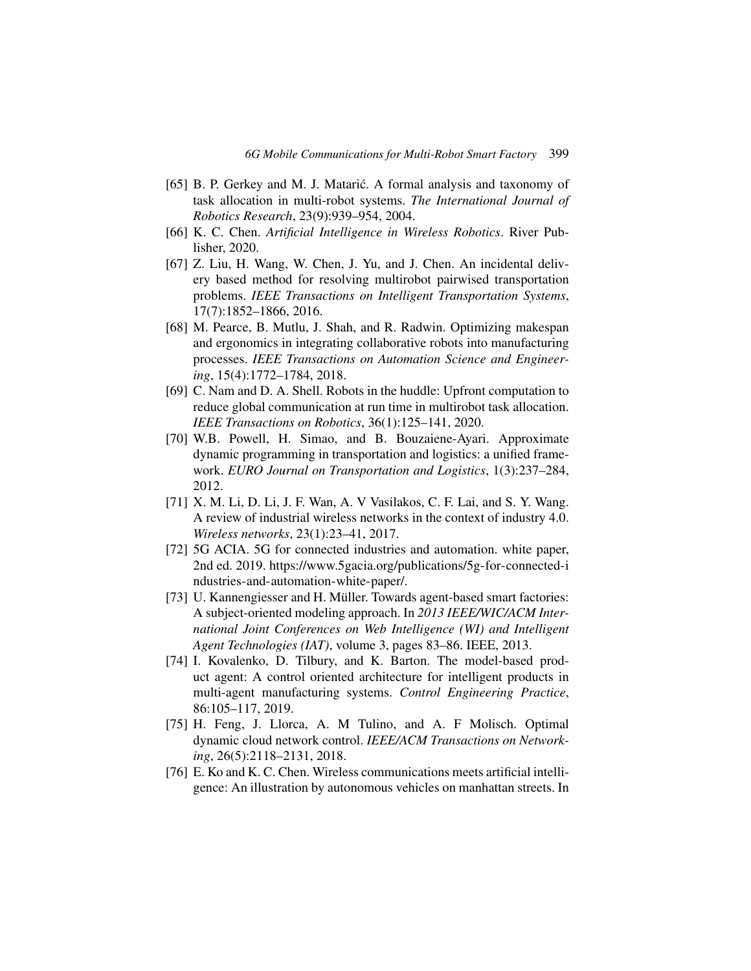- <span id="page-28-0"></span>[65] B. P. Gerkey and M. J. Matarić. A formal analysis and taxonomy of task allocation in multi-robot systems. *The International Journal of Robotics Research*, 23(9):939–954, 2004.
- <span id="page-28-1"></span>[66] K. C. Chen. *Artificial Intelligence in Wireless Robotics*. River Publisher, 2020.
- <span id="page-28-2"></span>[67] Z. Liu, H. Wang, W. Chen, J. Yu, and J. Chen. An incidental delivery based method for resolving multirobot pairwised transportation problems. *IEEE Transactions on Intelligent Transportation Systems*, 17(7):1852–1866, 2016.
- <span id="page-28-7"></span>[68] M. Pearce, B. Mutlu, J. Shah, and R. Radwin. Optimizing makespan and ergonomics in integrating collaborative robots into manufacturing processes. *IEEE Transactions on Automation Science and Engineering*, 15(4):1772–1784, 2018.
- <span id="page-28-3"></span>[69] C. Nam and D. A. Shell. Robots in the huddle: Upfront computation to reduce global communication at run time in multirobot task allocation. *IEEE Transactions on Robotics*, 36(1):125–141, 2020.
- <span id="page-28-4"></span>[70] W.B. Powell, H. Simao, and B. Bouzaiene-Ayari. Approximate dynamic programming in transportation and logistics: a unified framework. *EURO Journal on Transportation and Logistics*, 1(3):237–284, 2012.
- <span id="page-28-5"></span>[71] X. M. Li, D. Li, J. F. Wan, A. V Vasilakos, C. F. Lai, and S. Y. Wang. A review of industrial wireless networks in the context of industry 4.0. *Wireless networks*, 23(1):23–41, 2017.
- <span id="page-28-6"></span>[72] 5G ACIA. 5G for connected industries and automation. white paper, 2nd ed. 2019. [https://www.5gacia.org/publications/5g-for-connected-i](https://www.5gacia.org/publications/5g-for-connected-industries-and-automation-white-paper/) [ndustries-and-automation-white-paper/.](https://www.5gacia.org/publications/5g-for-connected-industries-and-automation-white-paper/)
- <span id="page-28-8"></span>[73] U. Kannengiesser and H. Müller. Towards agent-based smart factories: A subject-oriented modeling approach. In *2013 IEEE/WIC/ACM International Joint Conferences on Web Intelligence (WI) and Intelligent Agent Technologies (IAT)*, volume 3, pages 83–86. IEEE, 2013.
- <span id="page-28-9"></span>[74] I. Kovalenko, D. Tilbury, and K. Barton. The model-based product agent: A control oriented architecture for intelligent products in multi-agent manufacturing systems. *Control Engineering Practice*, 86:105–117, 2019.
- <span id="page-28-10"></span>[75] H. Feng, J. Llorca, A. M Tulino, and A. F Molisch. Optimal dynamic cloud network control. *IEEE/ACM Transactions on Networking*, 26(5):2118–2131, 2018.
- <span id="page-28-11"></span>[76] E. Ko and K. C. Chen. Wireless communications meets artificial intelligence: An illustration by autonomous vehicles on manhattan streets. In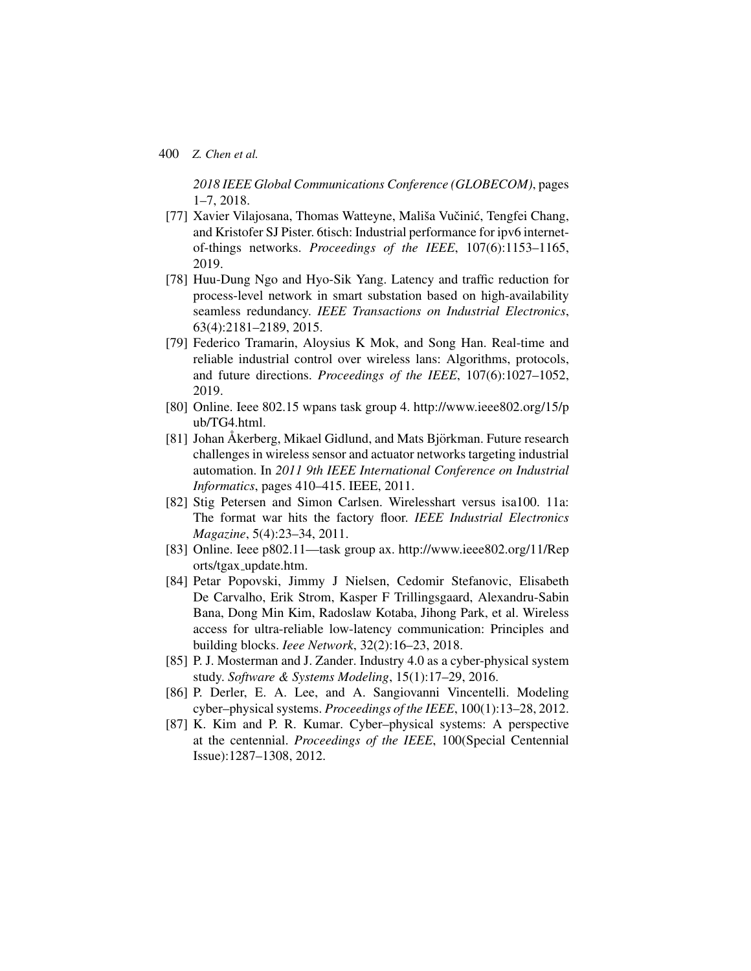*2018 IEEE Global Communications Conference (GLOBECOM)*, pages 1–7, 2018.

- <span id="page-29-0"></span>[77] Xavier Vilajosana, Thomas Watteyne, Mališa Vučinić, Tengfei Chang, and Kristofer SJ Pister. 6tisch: Industrial performance for ipv6 internetof-things networks. *Proceedings of the IEEE*, 107(6):1153–1165, 2019.
- <span id="page-29-1"></span>[78] Huu-Dung Ngo and Hyo-Sik Yang. Latency and traffic reduction for process-level network in smart substation based on high-availability seamless redundancy. *IEEE Transactions on Industrial Electronics*, 63(4):2181–2189, 2015.
- <span id="page-29-2"></span>[79] Federico Tramarin, Aloysius K Mok, and Song Han. Real-time and reliable industrial control over wireless lans: Algorithms, protocols, and future directions. *Proceedings of the IEEE*, 107(6):1027–1052, 2019.
- <span id="page-29-3"></span>[80] Online. Ieee 802.15 wpans task group 4. [http://www.ieee802.org/15/p](http://www.ieee802.org/15/pub/TG4.html) [ub/TG4.html.](http://www.ieee802.org/15/pub/TG4.html)
- <span id="page-29-4"></span>[81] Johan Åkerberg, Mikael Gidlund, and Mats Björkman. Future research challenges in wireless sensor and actuator networks targeting industrial automation. In *2011 9th IEEE International Conference on Industrial Informatics*, pages 410–415. IEEE, 2011.
- <span id="page-29-5"></span>[82] Stig Petersen and Simon Carlsen. Wirelesshart versus isa100. 11a: The format war hits the factory floor. *IEEE Industrial Electronics Magazine*, 5(4):23–34, 2011.
- <span id="page-29-6"></span>[83] Online. Ieee p802.11—task group ax. [http://www.ieee802.org/11/Rep](http://www.ieee802.org/11/Reports/tgax_update.htm) orts/tgax [update.htm.](http://www.ieee802.org/11/Reports/tgax_update.htm)
- <span id="page-29-7"></span>[84] Petar Popovski, Jimmy J Nielsen, Cedomir Stefanovic, Elisabeth De Carvalho, Erik Strom, Kasper F Trillingsgaard, Alexandru-Sabin Bana, Dong Min Kim, Radoslaw Kotaba, Jihong Park, et al. Wireless access for ultra-reliable low-latency communication: Principles and building blocks. *Ieee Network*, 32(2):16–23, 2018.
- <span id="page-29-8"></span>[85] P. J. Mosterman and J. Zander. Industry 4.0 as a cyber-physical system study. *Software & Systems Modeling*, 15(1):17–29, 2016.
- <span id="page-29-9"></span>[86] P. Derler, E. A. Lee, and A. Sangiovanni Vincentelli. Modeling cyber–physical systems. *Proceedings of the IEEE*, 100(1):13–28, 2012.
- <span id="page-29-10"></span>[87] K. Kim and P. R. Kumar. Cyber–physical systems: A perspective at the centennial. *Proceedings of the IEEE*, 100(Special Centennial Issue):1287–1308, 2012.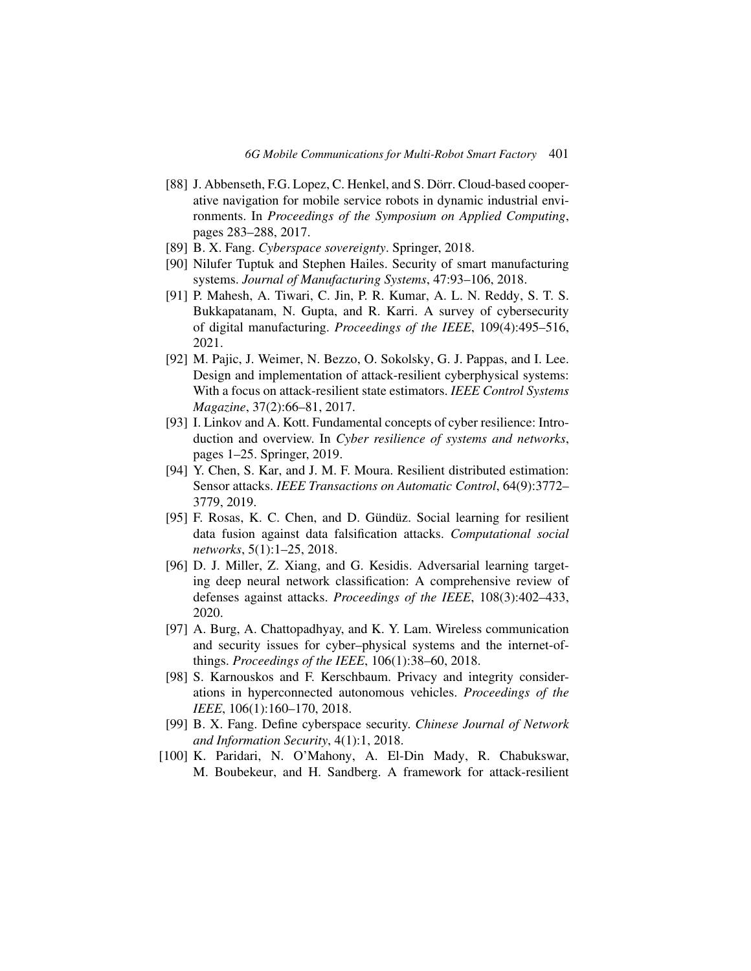- <span id="page-30-0"></span>[88] J. Abbenseth, F.G. Lopez, C. Henkel, and S. Dörr. Cloud-based cooperative navigation for mobile service robots in dynamic industrial environments. In *Proceedings of the Symposium on Applied Computing*, pages 283–288, 2017.
- <span id="page-30-1"></span>[89] B. X. Fang. *Cyberspace sovereignty*. Springer, 2018.
- <span id="page-30-2"></span>[90] Nilufer Tuptuk and Stephen Hailes. Security of smart manufacturing systems. *Journal of Manufacturing Systems*, 47:93–106, 2018.
- <span id="page-30-3"></span>[91] P. Mahesh, A. Tiwari, C. Jin, P. R. Kumar, A. L. N. Reddy, S. T. S. Bukkapatanam, N. Gupta, and R. Karri. A survey of cybersecurity of digital manufacturing. *Proceedings of the IEEE*, 109(4):495–516, 2021.
- <span id="page-30-4"></span>[92] M. Pajic, J. Weimer, N. Bezzo, O. Sokolsky, G. J. Pappas, and I. Lee. Design and implementation of attack-resilient cyberphysical systems: With a focus on attack-resilient state estimators. *IEEE Control Systems Magazine*, 37(2):66–81, 2017.
- <span id="page-30-5"></span>[93] I. Linkov and A. Kott. Fundamental concepts of cyber resilience: Introduction and overview. In *Cyber resilience of systems and networks*, pages 1–25. Springer, 2019.
- <span id="page-30-6"></span>[94] Y. Chen, S. Kar, and J. M. F. Moura. Resilient distributed estimation: Sensor attacks. *IEEE Transactions on Automatic Control*, 64(9):3772– 3779, 2019.
- <span id="page-30-7"></span>[95] F. Rosas, K. C. Chen, and D. Gündüz. Social learning for resilient data fusion against data falsification attacks. *Computational social networks*, 5(1):1–25, 2018.
- <span id="page-30-8"></span>[96] D. J. Miller, Z. Xiang, and G. Kesidis. Adversarial learning targeting deep neural network classification: A comprehensive review of defenses against attacks. *Proceedings of the IEEE*, 108(3):402–433, 2020.
- <span id="page-30-9"></span>[97] A. Burg, A. Chattopadhyay, and K. Y. Lam. Wireless communication and security issues for cyber–physical systems and the internet-ofthings. *Proceedings of the IEEE*, 106(1):38–60, 2018.
- <span id="page-30-10"></span>[98] S. Karnouskos and F. Kerschbaum. Privacy and integrity considerations in hyperconnected autonomous vehicles. *Proceedings of the IEEE*, 106(1):160–170, 2018.
- <span id="page-30-11"></span>[99] B. X. Fang. Define cyberspace security. *Chinese Journal of Network and Information Security*, 4(1):1, 2018.
- <span id="page-30-12"></span>[100] K. Paridari, N. O'Mahony, A. El-Din Mady, R. Chabukswar, M. Boubekeur, and H. Sandberg. A framework for attack-resilient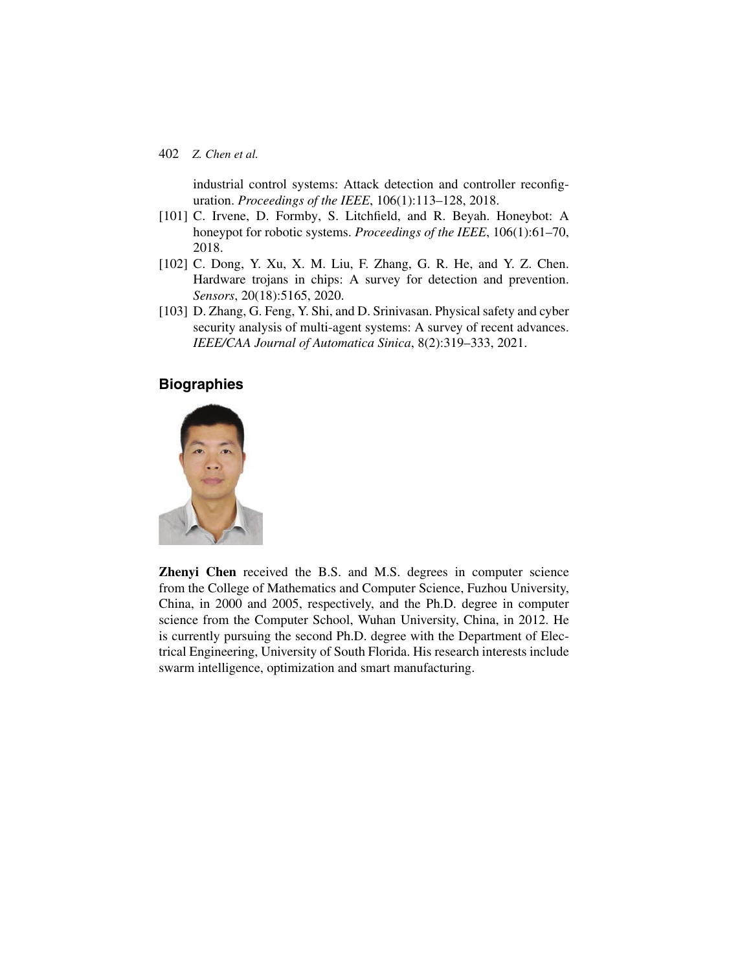industrial control systems: Attack detection and controller reconfiguration. *Proceedings of the IEEE*, 106(1):113–128, 2018.

- <span id="page-31-0"></span>[101] C. Irvene, D. Formby, S. Litchfield, and R. Beyah. Honeybot: A honeypot for robotic systems. *Proceedings of the IEEE*, 106(1):61–70, 2018.
- <span id="page-31-1"></span>[102] C. Dong, Y. Xu, X. M. Liu, F. Zhang, G. R. He, and Y. Z. Chen. Hardware trojans in chips: A survey for detection and prevention. *Sensors*, 20(18):5165, 2020.
- <span id="page-31-2"></span>[103] D. Zhang, G. Feng, Y. Shi, and D. Srinivasan. Physical safety and cyber security analysis of multi-agent systems: A survey of recent advances. *IEEE/CAA Journal of Automatica Sinica*, 8(2):319–333, 2021.

# **Biographies**



**Zhenyi Chen** received the B.S. and M.S. degrees in computer science from the College of Mathematics and Computer Science, Fuzhou University, China, in 2000 and 2005, respectively, and the Ph.D. degree in computer science from the Computer School, Wuhan University, China, in 2012. He is currently pursuing the second Ph.D. degree with the Department of Electrical Engineering, University of South Florida. His research interests include swarm intelligence, optimization and smart manufacturing.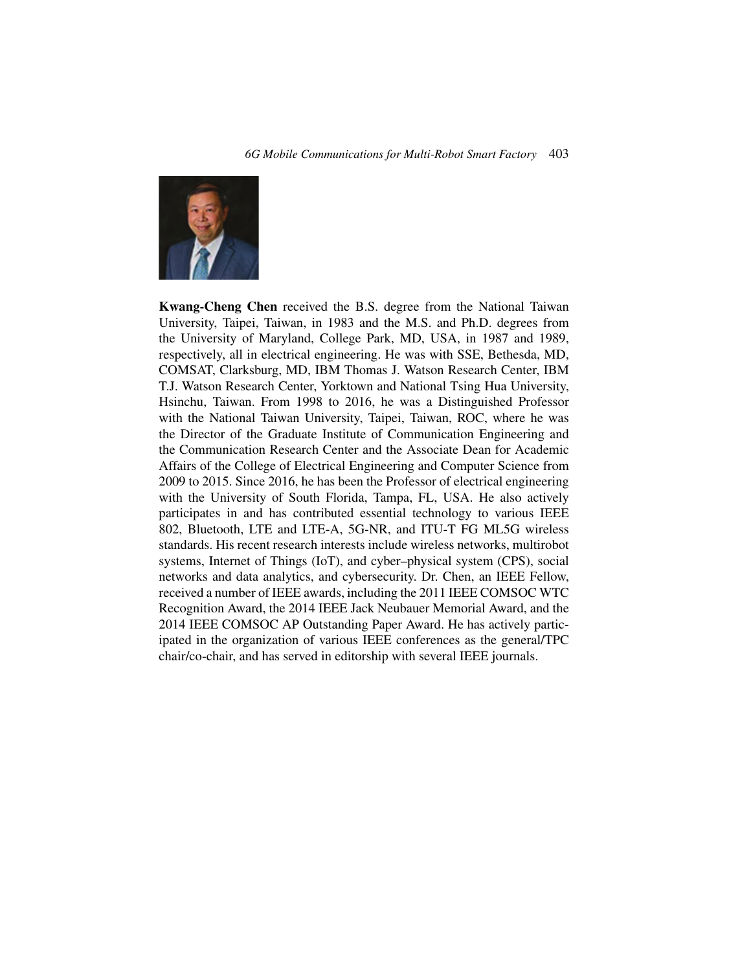

**Kwang-Cheng Chen** received the B.S. degree from the National Taiwan University, Taipei, Taiwan, in 1983 and the M.S. and Ph.D. degrees from the University of Maryland, College Park, MD, USA, in 1987 and 1989, respectively, all in electrical engineering. He was with SSE, Bethesda, MD, COMSAT, Clarksburg, MD, IBM Thomas J. Watson Research Center, IBM T.J. Watson Research Center, Yorktown and National Tsing Hua University, Hsinchu, Taiwan. From 1998 to 2016, he was a Distinguished Professor with the National Taiwan University, Taipei, Taiwan, ROC, where he was the Director of the Graduate Institute of Communication Engineering and the Communication Research Center and the Associate Dean for Academic Affairs of the College of Electrical Engineering and Computer Science from 2009 to 2015. Since 2016, he has been the Professor of electrical engineering with the University of South Florida, Tampa, FL, USA. He also actively participates in and has contributed essential technology to various IEEE 802, Bluetooth, LTE and LTE-A, 5G-NR, and ITU-T FG ML5G wireless standards. His recent research interests include wireless networks, multirobot systems, Internet of Things (IoT), and cyber–physical system (CPS), social networks and data analytics, and cybersecurity. Dr. Chen, an IEEE Fellow, received a number of IEEE awards, including the 2011 IEEE COMSOC WTC Recognition Award, the 2014 IEEE Jack Neubauer Memorial Award, and the 2014 IEEE COMSOC AP Outstanding Paper Award. He has actively participated in the organization of various IEEE conferences as the general/TPC chair/co-chair, and has served in editorship with several IEEE journals.